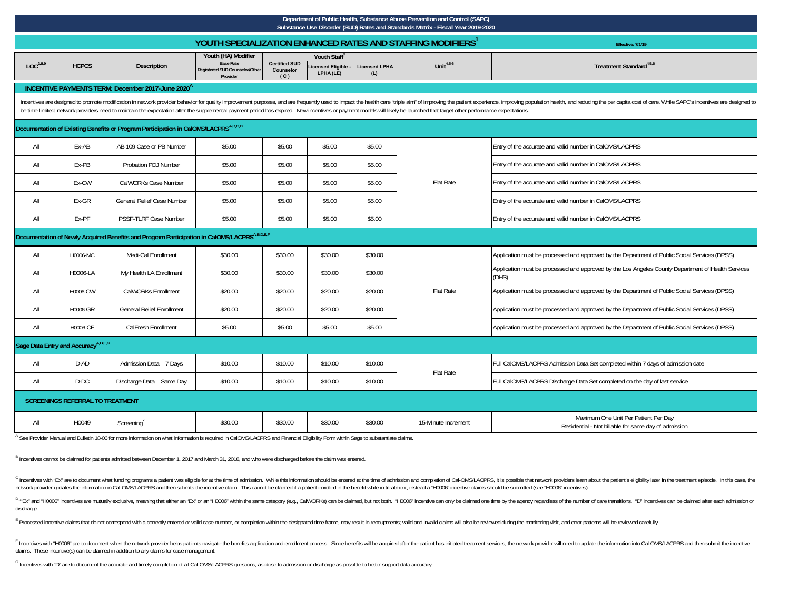|                                                                                                      | Department of Public Health, Substance Abuse Prevention and Control (SAPC)<br>Substance Use Disorder (SUD) Rates and Standards Matrix - Fiscal Year 2019-2020                                                                                                                                                                                                                                                                                                 |                                                               |                                                                                       |                                                                                                                                                      |         |         |                                                                         |                                                                                                             |  |  |  |  |
|------------------------------------------------------------------------------------------------------|---------------------------------------------------------------------------------------------------------------------------------------------------------------------------------------------------------------------------------------------------------------------------------------------------------------------------------------------------------------------------------------------------------------------------------------------------------------|---------------------------------------------------------------|---------------------------------------------------------------------------------------|------------------------------------------------------------------------------------------------------------------------------------------------------|---------|---------|-------------------------------------------------------------------------|-------------------------------------------------------------------------------------------------------------|--|--|--|--|
|                                                                                                      |                                                                                                                                                                                                                                                                                                                                                                                                                                                               |                                                               |                                                                                       |                                                                                                                                                      |         |         | YOUTH SPECIALIZATION ENHANCED RATES AND STAFFING MODIFIERS <sup>1</sup> | <b>Effective: 7/1/19</b>                                                                                    |  |  |  |  |
| LOC <sup>2,8,9</sup>                                                                                 | <b>HCPCS</b>                                                                                                                                                                                                                                                                                                                                                                                                                                                  | <b>Description</b>                                            | Youth (HA) Modifier<br><b>Base Rate</b><br>Registered SUD Counselor/Other<br>Provider | Youth Staff <sup>3</sup><br><b>Certified SUD</b><br>Unit $4,5,6$<br>icensed Eligible<br><b>Licensed LPHA</b><br>Counselor<br>LPHA (LE)<br>(L)<br>(C) |         |         | Treatment Standard <sup>4,5,6</sup>                                     |                                                                                                             |  |  |  |  |
|                                                                                                      |                                                                                                                                                                                                                                                                                                                                                                                                                                                               | INCENTIVE PAYMENTS TERM: December 2017-June 2020 <sup>A</sup> |                                                                                       |                                                                                                                                                      |         |         |                                                                         |                                                                                                             |  |  |  |  |
|                                                                                                      | Incentives are designed to promote modification in network provider behavior for quality improvement purposes, and are frequently used to impact the health care "triple aim" of improving the patient experience, improving p<br>be time-limited, network providers need to maintain the expectation after the supplemental payment period has expired. New incentives or payment models will likely be launched that target other performance expectations. |                                                               |                                                                                       |                                                                                                                                                      |         |         |                                                                         |                                                                                                             |  |  |  |  |
| Documentation of Existing Benefits or Program Participation in CalOMS/LACPRS <sup>A,B,C,D</sup>      |                                                                                                                                                                                                                                                                                                                                                                                                                                                               |                                                               |                                                                                       |                                                                                                                                                      |         |         |                                                                         |                                                                                                             |  |  |  |  |
| All                                                                                                  | Ex-AB                                                                                                                                                                                                                                                                                                                                                                                                                                                         | AB 109 Case or PB Number                                      | \$5.00                                                                                | \$5.00                                                                                                                                               | \$5.00  | \$5.00  |                                                                         | Entry of the accurate and valid number in CalOMS/LACPRS                                                     |  |  |  |  |
| All                                                                                                  | Ex-PB                                                                                                                                                                                                                                                                                                                                                                                                                                                         | Probation PDJ Number                                          | \$5.00                                                                                | \$5.00                                                                                                                                               | \$5.00  | \$5.00  |                                                                         | Entry of the accurate and valid number in CalOMS/LACPRS                                                     |  |  |  |  |
| All                                                                                                  | Ex-CW                                                                                                                                                                                                                                                                                                                                                                                                                                                         | CalWORKs Case Number                                          | \$5.00                                                                                | \$5.00                                                                                                                                               | \$5.00  | \$5.00  | <b>Flat Rate</b>                                                        | Entry of the accurate and valid number in CalOMS/LACPRS                                                     |  |  |  |  |
| All                                                                                                  | Ex-GR                                                                                                                                                                                                                                                                                                                                                                                                                                                         | General Relief Case Number                                    | \$5.00                                                                                | \$5.00                                                                                                                                               | \$5.00  | \$5.00  |                                                                         | Entry of the accurate and valid number in CalOMS/LACPRS                                                     |  |  |  |  |
| All                                                                                                  | Ex-PF                                                                                                                                                                                                                                                                                                                                                                                                                                                         | PSSF-TLRF Case Number                                         | \$5.00                                                                                | \$5.00                                                                                                                                               | \$5.00  | \$5.00  |                                                                         | Entry of the accurate and valid number in CalOMS/LACPRS                                                     |  |  |  |  |
| Documentation of Newly Acquired Benefits and Program Participation in CalOMS/LACPRS <sup>ABDEF</sup> |                                                                                                                                                                                                                                                                                                                                                                                                                                                               |                                                               |                                                                                       |                                                                                                                                                      |         |         |                                                                         |                                                                                                             |  |  |  |  |
| All                                                                                                  | H0006-MC                                                                                                                                                                                                                                                                                                                                                                                                                                                      | Medi-Cal Enrollment                                           | \$30.00                                                                               | \$30.00                                                                                                                                              | \$30.00 | \$30.00 |                                                                         | Application must be processed and approved by the Department of Public Social Services (DPSS)               |  |  |  |  |
| All                                                                                                  | H0006-LA                                                                                                                                                                                                                                                                                                                                                                                                                                                      | My Health LA Enrollment                                       | \$30.00                                                                               | \$30.00                                                                                                                                              | \$30.00 | \$30.00 |                                                                         | Application must be processed and approved by the Los Angeles County Department of Health Services<br>(DHS) |  |  |  |  |
| All                                                                                                  | H0006-CW                                                                                                                                                                                                                                                                                                                                                                                                                                                      | <b>CalWORKs Enrollment</b>                                    | \$20.00                                                                               | \$20.00                                                                                                                                              | \$20.00 | \$20.00 | <b>Flat Rate</b>                                                        | Application must be processed and approved by the Department of Public Social Services (DPSS)               |  |  |  |  |
| All                                                                                                  | H0006-GR                                                                                                                                                                                                                                                                                                                                                                                                                                                      | <b>General Relief Enrollment</b>                              | \$20.00                                                                               | \$20.00                                                                                                                                              | \$20.00 | \$20.00 |                                                                         | Application must be processed and approved by the Department of Public Social Services (DPSS)               |  |  |  |  |
| All                                                                                                  | H0006-CF                                                                                                                                                                                                                                                                                                                                                                                                                                                      | CalFresh Enrollment                                           | \$5.00                                                                                | \$5.00                                                                                                                                               | \$5.00  | \$5.00  |                                                                         | Application must be processed and approved by the Department of Public Social Services (DPSS)               |  |  |  |  |
|                                                                                                      | Sage Data Entry and Accuracy <sup>A,B,E,G</sup>                                                                                                                                                                                                                                                                                                                                                                                                               |                                                               |                                                                                       |                                                                                                                                                      |         |         |                                                                         |                                                                                                             |  |  |  |  |
| All                                                                                                  | D-AD                                                                                                                                                                                                                                                                                                                                                                                                                                                          | Admission Data - 7 Days                                       | \$10.00                                                                               | \$10.00                                                                                                                                              | \$10.00 | \$10.00 | Flat Rate                                                               | Full CalOMS/LACPRS Admission Data Set completed within 7 days of admission date                             |  |  |  |  |
| All                                                                                                  | $D-DC$                                                                                                                                                                                                                                                                                                                                                                                                                                                        | Discharge Data - Same Day                                     | \$10.00                                                                               | \$10.00                                                                                                                                              | \$10.00 | \$10.00 |                                                                         | Full CalOMS/LACPRS Discharge Data Set completed on the day of last service                                  |  |  |  |  |
| <b>SCREENINGS REFERRAL TO TREATMENT</b>                                                              |                                                                                                                                                                                                                                                                                                                                                                                                                                                               |                                                               |                                                                                       |                                                                                                                                                      |         |         |                                                                         |                                                                                                             |  |  |  |  |
| All                                                                                                  | H0049                                                                                                                                                                                                                                                                                                                                                                                                                                                         | Screening'                                                    | \$30.00                                                                               | \$30.00                                                                                                                                              | \$30.00 | \$30.00 | 15-Minute Increment                                                     | Maximum One Unit Per Patient Per Day<br>Residential - Not billable for same day of admission                |  |  |  |  |

<sup>\</sup> See Provider Manual and Bulletin 18-06 for more information on what information is required in CalOMS/LACPRS and Financial Eligibility Form within Sage to substantiate claims.

B Incentives cannot be claimed for patients admitted between December 1, 2017 and March 31, 2018, and who were discharged before the claim was entered.

<sup>C</sup> Incentives with "Ex" are to document what funding programs a patient was eligible for at the time of admission. While this information should be entered at the time of admission and completion of Cal-OMS/LACPRS, it is network provider updates the information in Cal-OMS/LACPRS and then submits the incentive claim. This cannot be claimed if a patient enrolled in the benefit while in treatment, instead a "H0006" incentive claims should be

<sup>D</sup> "Ex" and "H0006" incentives are mutually exclusive, meaning that either an "Ex" or an "H0006" within the same category (e.g., CalWORKs) can be claimed, but not both. "H0006" incentive can only be claimed one time by th discharge.

E Processed incentive claims that do not correspond with a correctly entered or valid case number, or completion within the designated time frame, may result in recoupments; valid and invalid claims will also be reviewed d

F Incentives with "H0006" are to document when the network provider helps patients navigate the benefits application and enrollment process. Since benefits will be acquired after the patient as initiated treatment services claims. These incentive(s) can be claimed in addition to any claims for case management.

G Incentives with "D" are to document the accurate and timely completion of all Cal-OMS/LACPRS questions, as close to admission or discharge as possible to better support data accuracy.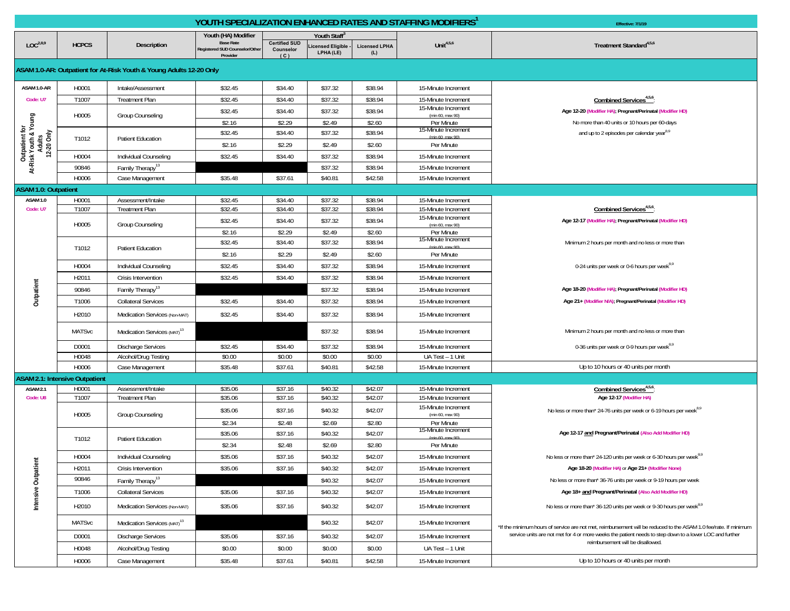|                                                   |                                       |                                                                     | YOUTH SPECIALIZATION ENHANCED RATES AND STAFFING MODIFIERS <sup>1</sup> | Effective: 7/1/19                        |                               |                             |                                            |                                                                                                                                              |
|---------------------------------------------------|---------------------------------------|---------------------------------------------------------------------|-------------------------------------------------------------------------|------------------------------------------|-------------------------------|-----------------------------|--------------------------------------------|----------------------------------------------------------------------------------------------------------------------------------------------|
|                                                   |                                       |                                                                     | Youth (HA) Modifier                                                     |                                          | Youth Staff <sup>®</sup>      |                             |                                            |                                                                                                                                              |
| LOC <sup>2,8,9</sup>                              | <b>HCPCS</b>                          | Description                                                         | <b>Base Rate</b><br>Registered SUD Counselor/Other<br>Provider          | <b>Certified SUD</b><br>Counselor<br>(C) | icensed Eligible<br>LPHA (LE) | <b>Licensed LPHA</b><br>(L) | Unit $4,5,6$                               | Treatment Standard <sup>4,5,6</sup>                                                                                                          |
|                                                   |                                       | ASAM 1.0-AR: Outpatient for At-Risk Youth & Young Adults 12-20 Only |                                                                         |                                          |                               |                             |                                            |                                                                                                                                              |
| ASAM 1.0-AR                                       | H0001                                 | Intake/Assessment                                                   | \$32.45                                                                 | \$34.40                                  | \$37.32                       | \$38.94                     | 15-Minute Increment                        |                                                                                                                                              |
| Code: U7                                          | T1007                                 | <b>Treatment Plan</b>                                               | \$32.45                                                                 | \$34.40                                  | \$37.32                       | \$38.94                     | 15-Minute Increment                        | Combined Services <sup>4,5,6</sup>                                                                                                           |
|                                                   |                                       |                                                                     | \$32.45                                                                 | \$34.40                                  | \$37.32                       | \$38.94                     | 15-Minute Increment                        | Age 12-20 (Modifier HA); Pregnant/Perinatal (Modifier HD)                                                                                    |
|                                                   | H0005                                 | Group Counseling                                                    | \$2.16                                                                  | \$2.29                                   | \$2.49                        | \$2.60                      | (min 60, max 90)<br>Per Minute             | No more than 40 units or 10 hours per 60-days                                                                                                |
|                                                   |                                       |                                                                     | \$32.45                                                                 | \$34.40                                  | \$37.32                       | \$38.94                     | 15-Minute Increment                        | and up to 2 episodes per calendar year <sup>8,9</sup>                                                                                        |
| 12-20 Only                                        | T1012                                 | <b>Patient Education</b>                                            | \$2.16                                                                  | \$2.29                                   | \$2.49                        | \$2.60                      | Per Minute                                 |                                                                                                                                              |
| Outpatient for<br>At-Risk Youth & Young<br>Adults | H0004                                 | Individual Counseling                                               | \$32.45                                                                 | \$34.40                                  | \$37.32                       | \$38.94                     | 15-Minute Increment                        |                                                                                                                                              |
|                                                   | 90846                                 | Family Therapy <sup>13</sup>                                        |                                                                         |                                          | \$37.32                       | \$38.94                     | 15-Minute Increment                        |                                                                                                                                              |
|                                                   | H0006                                 | Case Management                                                     | \$35.48                                                                 | \$37.61                                  | \$40.81                       | \$42.58                     | 15-Minute Increment                        |                                                                                                                                              |
| <b>ASAM 1.0: Outpatient</b>                       |                                       |                                                                     |                                                                         |                                          |                               |                             |                                            |                                                                                                                                              |
| ASAM 1.0                                          | H0001                                 | Assessment/Intake                                                   | \$32.45                                                                 | \$34.40                                  | \$37.32                       | \$38.94                     | 15-Minute Increment                        |                                                                                                                                              |
| Code: U7                                          | T1007                                 | <b>Treatment Plan</b>                                               | \$32.45                                                                 | \$34.40                                  | \$37.32                       | \$38.94                     | 15-Minute Increment                        | Combined Services <sup>4,5,6</sup>                                                                                                           |
|                                                   | H0005                                 | Group Counseling                                                    | \$32.45                                                                 | \$34.40                                  | \$37.32                       | \$38.94                     | 15-Minute Increment<br>(min 60, max 90)    | Age 12-17 (Modifier HA); Pregnant/Perinatal (Modifier HD)                                                                                    |
|                                                   |                                       |                                                                     | \$2.16                                                                  | \$2.29                                   | \$2.49                        | \$2.60                      | Per Minute<br>15-Minute Increment          |                                                                                                                                              |
|                                                   | T1012                                 | <b>Patient Education</b>                                            | \$32.45                                                                 | \$34.40                                  | \$37.32                       | \$38.94                     |                                            | Minimum 2 hours per month and no less or more than                                                                                           |
|                                                   |                                       |                                                                     | \$2.16                                                                  | \$2.29                                   | \$2.49                        | \$2.60                      | Per Minute                                 |                                                                                                                                              |
|                                                   | H0004                                 | Individual Counseling                                               | \$32.45                                                                 | \$34.40                                  | \$37.32                       | \$38.94                     | 15-Minute Increment                        | 0-24 units per week or 0-6 hours per week <sup>8,9</sup>                                                                                     |
|                                                   | H2011                                 | Crisis Intervention                                                 | \$32.45                                                                 | \$34.40                                  | \$37.32                       | \$38.94                     | 15-Minute Increment                        |                                                                                                                                              |
| Outpatient                                        | 90846                                 | Family Therapy <sup>13</sup>                                        |                                                                         |                                          | \$37.32                       | \$38.94                     | 15-Minute Increment                        | Age 18-20 (Modifier HA); Pregnant/Perinatal (Modifier HD)                                                                                    |
|                                                   | T1006                                 | <b>Collateral Services</b>                                          | \$32.45                                                                 | \$34.40                                  | \$37.32                       | \$38.94                     | 15-Minute Increment                        | Age 21+ (Modifier N/A); Pregnant/Perinatal (Modifier HD)                                                                                     |
|                                                   | H2010                                 | Medication Services (Non-MAT)                                       | \$32.45                                                                 | \$34.40                                  | \$37.32                       | \$38.94                     | 15-Minute Increment                        |                                                                                                                                              |
|                                                   | <b>MATSvc</b>                         | Medication Services (MAT) <sup>13</sup>                             |                                                                         |                                          | \$37.32                       | \$38.94                     | 15-Minute Increment                        | Minimum 2 hours per month and no less or more than                                                                                           |
|                                                   | D0001                                 | <b>Discharge Services</b>                                           | \$32.45                                                                 | \$34.40                                  | \$37.32                       | \$38.94                     | 15-Minute Increment                        | 0-36 units per week or 0-9 hours per week <sup>8,9</sup>                                                                                     |
|                                                   | H0048                                 | Alcohol/Drug Testing                                                | \$0.00                                                                  | \$0.00                                   | \$0.00                        | \$0.00                      | UA Test - 1 Unit                           |                                                                                                                                              |
|                                                   | H0006                                 | Case Management                                                     | \$35.48                                                                 | \$37.61                                  | \$40.81                       | \$42.58                     | 15-Minute Increment                        | Up to 10 hours or 40 units per month                                                                                                         |
|                                                   | <b>ASAM 2.1: Intensive Outpatient</b> |                                                                     |                                                                         |                                          |                               |                             |                                            |                                                                                                                                              |
| ASAM <sub>2.1</sub><br>Code: U8                   | H0001<br>T1007                        | Assessment/Intake<br><b>Treatment Plan</b>                          | \$35.06<br>\$35.06                                                      | \$37.16<br>\$37.16                       | \$40.32<br>\$40.32            | \$42.07<br>\$42.07          | 15-Minute Increment<br>15-Minute Increment | Combined Services <sup>4,5,6</sup> :<br>Age 12-17 (Modifier HA)                                                                              |
|                                                   |                                       |                                                                     |                                                                         |                                          |                               |                             | 15-Minute Increment                        |                                                                                                                                              |
|                                                   | H0005                                 | Group Counseling                                                    | \$35.06                                                                 | \$37.16                                  | \$40.32                       | \$42.07                     | (min 60, max 90)                           | No less or more than* 24-76 units per week or 6-19 hours per week <sup>8,9</sup>                                                             |
|                                                   |                                       |                                                                     | \$2.34                                                                  | \$2.48                                   | \$2.69                        | \$2.80                      | Per Minute<br>15 Minute Increment          |                                                                                                                                              |
|                                                   | T1012                                 | <b>Patient Education</b>                                            | \$35.06                                                                 | \$37.16                                  | \$40.32                       | \$42.07                     | (min 60 max 90)                            | Age 12-17 and Pregnant/Perinatal (Also Add Modifier HD)                                                                                      |
|                                                   |                                       |                                                                     | \$2.34                                                                  | \$2.48                                   | \$2.69                        | \$2.80                      | Per Minute                                 |                                                                                                                                              |
|                                                   | H0004                                 | Individual Counseling                                               | \$35.06                                                                 | \$37.16                                  | \$40.32                       | \$42.07                     | 15-Minute Increment                        | No less or more than* 24-120 units per week or 6-30 hours per week <sup>8,9</sup>                                                            |
|                                                   | H2011                                 | Crisis Intervention                                                 | \$35.06                                                                 | \$37.16                                  | \$40.32                       | \$42.07                     | 15-Minute Increment                        | Age 18-20 (Modifier HA) or Age 21+ (Modifier None)                                                                                           |
|                                                   | 90846                                 | Family Therapy <sup>13</sup>                                        |                                                                         |                                          | \$40.32                       | \$42.07                     | 15-Minute Increment                        | No less or more than* 36-76 units per week or 9-19 hours per week                                                                            |
| Intensive Outpatient                              | T1006                                 | <b>Collateral Services</b>                                          | \$35.06                                                                 | \$37.16                                  | \$40.32                       | \$42.07                     | 15-Minute Increment                        | Age 18+ and Pregnant/Perinatal (Also Add Modifier HD)                                                                                        |
|                                                   | H2010                                 | Medication Services (Non-MAT)                                       | \$35.06                                                                 | \$37.16                                  | \$40.32                       | \$42.07                     | 15-Minute Increment                        | No less or more than* 36-120 units per week or 9-30 hours per week <sup>8,9</sup>                                                            |
|                                                   | <b>MATSvc</b>                         | Medication Services (MAT) <sup>13</sup>                             |                                                                         |                                          | \$40.32                       | \$42.07                     | 15-Minute Increment                        | *If the minimum hours of service are not met, reimbursement will be reduced to the ASAM 1.0 fee/rate. If minimum                             |
|                                                   | D0001                                 | <b>Discharge Services</b>                                           | \$35.06                                                                 | \$37.16                                  | \$40.32                       | \$42.07                     | 15-Minute Increment                        | service units are not met for 4 or more weeks the patient needs to step down to a lower LOC and further<br>reimbursement will be disallowed. |
|                                                   | H0048                                 | Alcohol/Drug Testing                                                | \$0.00                                                                  | \$0.00                                   | \$0.00                        | \$0.00                      | UA Test - 1 Unit                           |                                                                                                                                              |
|                                                   | H0006                                 | Case Management                                                     | \$35.48                                                                 | \$37.61                                  | \$40.81                       | \$42.58                     | 15-Minute Increment                        | Up to 10 hours or 40 units per month                                                                                                         |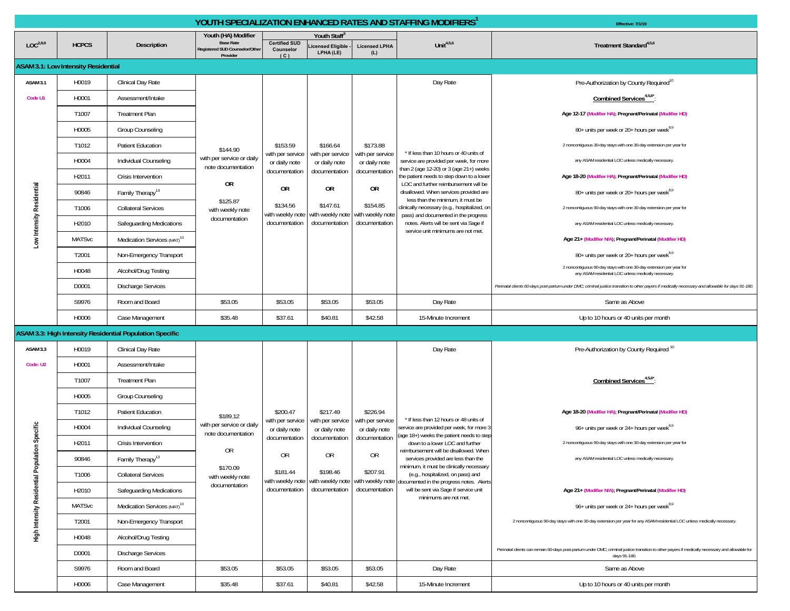|                                                |                                            |                                                          |                                                                                       |                                          |                                                              |                                   | YOUTH SPECIALIZATION ENHANCED RATES AND STAFFING MODIFIERS <sup>1</sup>                                                          | Effective: 7/1/19                                                                                                                                                |
|------------------------------------------------|--------------------------------------------|----------------------------------------------------------|---------------------------------------------------------------------------------------|------------------------------------------|--------------------------------------------------------------|-----------------------------------|----------------------------------------------------------------------------------------------------------------------------------|------------------------------------------------------------------------------------------------------------------------------------------------------------------|
| LOC <sup>2,8,9</sup>                           | <b>HCPCS</b>                               | Description                                              | Youth (HA) Modifier<br><b>Base Rate</b><br>Registered SUD Counselor/Other<br>Provider | <b>Certified SUD</b><br>Counselor<br>(C) | Youth Staff <sup>®</sup><br>.icensed Eligible -<br>LPHA (LE) | <b>Licensed LPHA</b><br>(L)       | Unit $4,5,6$                                                                                                                     | Treatment Standard <sup>4,5,6</sup>                                                                                                                              |
|                                                | <b>ASAM 3.1: Low Intensity Residential</b> |                                                          |                                                                                       |                                          |                                                              |                                   |                                                                                                                                  |                                                                                                                                                                  |
| ASAM 3.1                                       | H0019                                      | Clinical Day Rate                                        |                                                                                       |                                          |                                                              |                                   | Day Rate                                                                                                                         | Pre-Authorization by County Required <sup>10</sup>                                                                                                               |
| Code U1                                        | H0001                                      | Assessment/Intake                                        |                                                                                       |                                          |                                                              |                                   |                                                                                                                                  | Combined Services <sup>4,5,6</sup> :                                                                                                                             |
|                                                | T1007                                      | <b>Treatment Plan</b>                                    |                                                                                       |                                          |                                                              | \$173.88                          |                                                                                                                                  | Age 12-17 (Modifier HA); Pregnant/Perinatal (Modifier HD)                                                                                                        |
|                                                | H0005                                      | Group Counseling                                         |                                                                                       |                                          |                                                              |                                   |                                                                                                                                  | 80+ units per week or 20+ hours per week <sup>8,9</sup>                                                                                                          |
|                                                | T1012                                      | <b>Patient Education</b>                                 | \$144.90                                                                              | \$153.59                                 | \$166.64                                                     |                                   |                                                                                                                                  | 2 noncontiguous 30-day stays with one 30-day extension per year for                                                                                              |
|                                                | H0004                                      | Individual Counseling                                    | with per service or daily<br>note documentation                                       | with per service<br>or daily note        | with per service<br>or daily note                            | with per service<br>or daily note | * If less than 10 hours or 40 units of<br>service are provided per week, for more                                                | any ASAM residential LOC unless medically necessary.                                                                                                             |
|                                                | H2011                                      | Crisis Intervention                                      |                                                                                       | documentation                            | documentation                                                | documentation                     | than 2 (age 12-20) or 3 (age 21+) weeks<br>the patient needs to step down to a lower                                             | Age 18-20 (Modifier HA); Pregnant/Perinatal (Modifier HD)                                                                                                        |
|                                                | 90846                                      | Family Therapy <sup>13</sup>                             | <b>OR</b>                                                                             | 0R                                       | 0R                                                           | 0R                                | LOC and further reimbursement will be<br>disallowed. When services provided are                                                  | 80+ units per week or 20+ hours per week <sup>8,9</sup>                                                                                                          |
|                                                | T1006                                      | <b>Collateral Services</b>                               | \$125.87<br>with weekly note                                                          | \$134.56<br>with weekly note             | \$147.61<br>with weekly note with weekly note                | \$154.85                          | less than the minimum, it must be<br>clinically necessary (e.g., hospitalized, on                                                | 2 noncontiguous 90-day stays with one 30-day extension per year for                                                                                              |
|                                                | H2010                                      | Safeguarding Medications                                 | documentation                                                                         | documentation                            | documentation                                                | documentation                     | pass) and documented in the progress<br>notes. Alerts will be sent via Sage if<br>service unit minimums are not met.             | any ASAM residential LOC unless medically necessary.                                                                                                             |
| Low Intensity Residential                      | <b>MATSvc</b>                              | Medication Services (MAT) <sup>13</sup>                  |                                                                                       |                                          |                                                              |                                   |                                                                                                                                  | Age 21+ (Modifier N/A); Pregnant/Perinatal (Modifier HD)                                                                                                         |
|                                                | T2001                                      | Non-Emergency Transport                                  |                                                                                       |                                          |                                                              |                                   |                                                                                                                                  | 80+ units per week or 20+ hours per week <sup>8,9</sup>                                                                                                          |
|                                                | H0048                                      | Alcohol/Drug Testing                                     |                                                                                       |                                          |                                                              |                                   |                                                                                                                                  | 2 noncontiguous 90-day stays with one 30-day extension per year for<br>any ASAM residential LOC unless medically necessary.                                      |
|                                                | D0001                                      | <b>Discharge Services</b>                                |                                                                                       |                                          |                                                              |                                   |                                                                                                                                  | Perinatal clients 60-days post-partum under DMC; criminal justice transition to other payers if medically necessary and allowable for days 91-180.               |
|                                                | S9976                                      | Room and Board                                           | \$53.05                                                                               | \$53.05                                  | \$53.05                                                      | \$53.05                           | Day Rate                                                                                                                         | Same as Above                                                                                                                                                    |
|                                                | H0006                                      | Case Management                                          | \$35.48                                                                               | \$37.61                                  | \$40.81                                                      | \$42.58                           | 15-Minute Increment                                                                                                              | Up to 10 hours or 40 units per month                                                                                                                             |
|                                                |                                            | ASAM 3.3: High Intensity Residential Population Specific |                                                                                       |                                          |                                                              |                                   |                                                                                                                                  |                                                                                                                                                                  |
| ASAM 3.3                                       | H0019                                      | Clinical Day Rate                                        |                                                                                       |                                          |                                                              |                                   | Day Rate                                                                                                                         | Pre-Authorization by County Required <sup>10</sup>                                                                                                               |
| Code: U2                                       | H0001                                      | Assessment/Intake                                        |                                                                                       |                                          |                                                              |                                   |                                                                                                                                  |                                                                                                                                                                  |
|                                                | T1007                                      | <b>Treatment Plan</b>                                    |                                                                                       |                                          |                                                              |                                   |                                                                                                                                  | Combined Services <sup>4,5,6*</sup>                                                                                                                              |
|                                                | H0005                                      | Group Counseling                                         |                                                                                       |                                          |                                                              |                                   |                                                                                                                                  |                                                                                                                                                                  |
|                                                | T1012                                      | <b>Patient Education</b>                                 | \$189.12                                                                              | \$200.47                                 | \$217.49                                                     | \$226.94                          | * If less than 12 hours or 48 units of                                                                                           | Age 18-20 (Modifier HA); Pregnant/Perinatal (Modifier HD)                                                                                                        |
|                                                | H0004                                      | Individual Counseling                                    | with per service or daily<br>note documentation                                       | with per service<br>or daily note        | with per service<br>or daily note                            | with per service<br>or daily note | service are provided per week, for more 3<br>(age 18+) weeks the patient needs to step                                           | 96+ units per week or 24+ hours per week <sup>8,9</sup>                                                                                                          |
|                                                | H2011                                      | Crisis Intervention                                      | OR                                                                                    | documentation                            | documentation                                                | documentation                     | down to a lower LOC and further<br>reimbursement will be disallowed. When                                                        | 2 noncontiguous 90-day stays with one 30-day extension per year for                                                                                              |
|                                                | 90846                                      | Family Therapy <sup>13</sup>                             |                                                                                       | 0R                                       | 0R                                                           | 0R                                | services provided are less than the<br>minimum, it must be clinically necessary                                                  | any ASAM residential LOC unless medically necessary                                                                                                              |
|                                                | T1006                                      | <b>Collateral Services</b>                               | \$170.09<br>with weekly note                                                          | \$181.44                                 | \$198.46                                                     | \$207.91                          | (e.g., hospitalized, on pass) and<br>with weekly note with weekly note with weekly note documented in the progress notes. Alerts |                                                                                                                                                                  |
|                                                | H2010                                      | Safeguarding Medications                                 | documentation                                                                         | documentation                            | documentation                                                | documentation                     | will be sent via Sage if service unit<br>minimums are not met.                                                                   | Age 21+ (Modifier N/A); Pregnant/Perinatal (Modifier HD)                                                                                                         |
|                                                | <b>MATSvc</b>                              | Medication Services (MAT) <sup>13</sup>                  |                                                                                       |                                          |                                                              |                                   |                                                                                                                                  | 96+ units per week or 24+ hours per week <sup>8,9</sup>                                                                                                          |
| High Intensity Residential Population Specific | T2001                                      | Non-Emergency Transport                                  |                                                                                       |                                          |                                                              |                                   |                                                                                                                                  | 2 noncontiguous 90-day stays with one 30-day extension per year for any ASAM residential LOC unless medically necessary.                                         |
|                                                | H0048                                      | Alcohol/Drug Testing                                     |                                                                                       |                                          |                                                              |                                   |                                                                                                                                  |                                                                                                                                                                  |
|                                                | D0001                                      | <b>Discharge Services</b>                                |                                                                                       |                                          |                                                              |                                   |                                                                                                                                  | Perinatal clients can remain 60-days post-partum under DMC; criminal justice transition to other payers if medically necessary and allowable for<br>days 91-180. |
|                                                | S9976                                      | Room and Board                                           | \$53.05                                                                               | \$53.05                                  | \$53.05                                                      | \$53.05                           | Day Rate                                                                                                                         | Same as Above                                                                                                                                                    |
|                                                | H0006                                      | Case Management                                          | \$35.48                                                                               | \$37.61                                  | \$40.81                                                      | \$42.58                           | 15-Minute Increment                                                                                                              | Up to 10 hours or 40 units per month                                                                                                                             |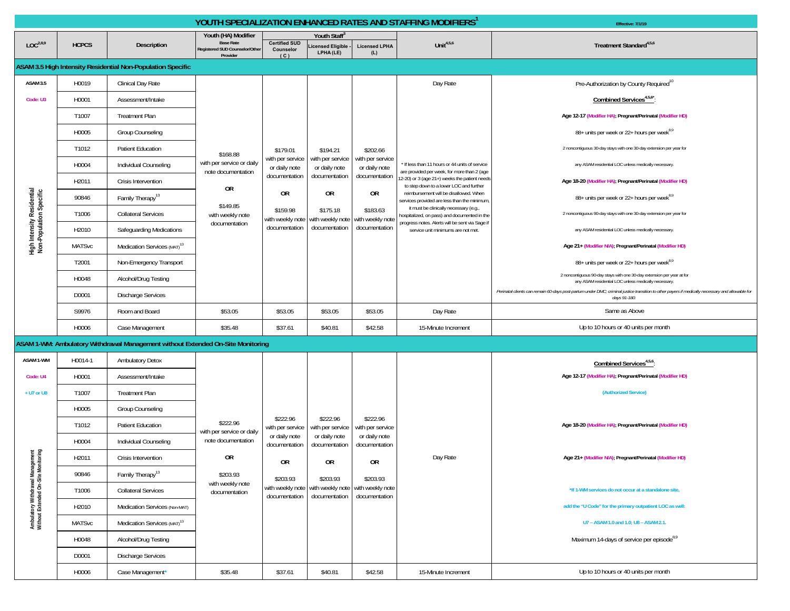|                                                                         |               |                                                                                 |                                                 | YOUTH SPECIALIZATION ENHANCED RATES AND STAFFING MODIFIERS <sup>1</sup> | Effective: 7/1/19                             |                                   |                                                                                               |                                                                                                                                                                  |
|-------------------------------------------------------------------------|---------------|---------------------------------------------------------------------------------|-------------------------------------------------|-------------------------------------------------------------------------|-----------------------------------------------|-----------------------------------|-----------------------------------------------------------------------------------------------|------------------------------------------------------------------------------------------------------------------------------------------------------------------|
| LOC <sup>2,8,9</sup>                                                    | <b>HCPCS</b>  | Description                                                                     | Youth (HA) Modifier<br><b>Base Rate</b>         | <b>Certified SUD</b>                                                    | <b>Youth Staff</b>                            |                                   | Unit $4,5,6$                                                                                  | Treatment Standard <sup>4,5,6</sup>                                                                                                                              |
|                                                                         |               |                                                                                 | Registered SUD Counselor/Other<br>Provider      | Counselor<br>(C)                                                        | icensed Eligible<br>LPHA (LE)                 | <b>Licensed LPHA</b><br>(L)       |                                                                                               |                                                                                                                                                                  |
|                                                                         |               | ASAM 3.5 High Intensity Residential Non-Population Specific                     |                                                 |                                                                         |                                               |                                   |                                                                                               |                                                                                                                                                                  |
| <b>ASAM 3.5</b>                                                         | H0019         | Clinical Day Rate                                                               |                                                 |                                                                         |                                               |                                   | Day Rate                                                                                      | Pre-Authorization by County Required <sup>10</sup>                                                                                                               |
| Code: U3                                                                | H0001         | Assessment/Intake                                                               |                                                 |                                                                         |                                               |                                   |                                                                                               | Combined Services <sup>4,5,6*</sup>                                                                                                                              |
|                                                                         | T1007         | <b>Treatment Plan</b>                                                           |                                                 |                                                                         |                                               |                                   |                                                                                               | Age 12-17 (Modifier HA); Pregnant/Perinatal (Modifier HD)                                                                                                        |
|                                                                         | H0005         | Group Counseling                                                                |                                                 |                                                                         |                                               |                                   |                                                                                               | 88+ units per week or 22+ hours per week <sup>8,9</sup>                                                                                                          |
|                                                                         | T1012         | Patient Education                                                               | \$168.88                                        | \$179.01                                                                | \$194.21                                      | \$202.66                          |                                                                                               | 2 noncontiguous 30-day stays with one 30-day extension per year for                                                                                              |
|                                                                         | H0004         | Individual Counseling                                                           | with per service or daily<br>note documentation | with per service<br>or daily note                                       | with per service<br>or daily note             | with per service<br>or daily note | f If less than 11 hours or 44 units of service<br>are provided per week, for more than 2 (age | any ASAM residential LOC unless medically necessary.                                                                                                             |
|                                                                         | H2011         | Crisis Intervention                                                             |                                                 | documentation                                                           | documentation                                 | documentation                     | 12-20) or 3 (age 21+) weeks the patient needs<br>to step down to a lower LOC and further      | Age 18-20 (Modifier HA); Pregnant/Perinatal (Modifier HD)                                                                                                        |
|                                                                         | 90846         | Family Therapy <sup>13</sup>                                                    | OR                                              | 0R                                                                      | 0R                                            | 0R                                | reimbursement will be disallowed. When<br>services provided are less than the minimum,        | 88+ units per week or 22+ hours per week <sup>8,9</sup>                                                                                                          |
| High Intensity Residential<br>Non-Population Specific                   | T1006         | <b>Collateral Services</b>                                                      | \$149.85<br>with weekly note                    | \$159.98<br>with weekly note                                            | \$175.18<br>with weekly note                  | \$183.63<br>with weekly note      | it must be clinically necessary (e.g.,<br>hospitalized, on pass) and documented in the        | 2 noncontiguous 90-day stays with one 30-day extension per year for                                                                                              |
|                                                                         | H2010         | Safeguarding Medications                                                        | documentation                                   | documentation                                                           | documentation                                 | documentation                     | progress notes. Alerts will be sent via Sage if<br>service unit minimums are not met.         | any ASAM residential LOC unless medically necessary.                                                                                                             |
|                                                                         | <b>MATSvc</b> | Medication Services (MAT) <sup>13</sup>                                         |                                                 |                                                                         |                                               |                                   |                                                                                               | Age 21+ (Modifier N/A); Pregnant/Perinatal (Modifier HD)                                                                                                         |
|                                                                         | T2001         | Non-Emergency Transport                                                         |                                                 |                                                                         |                                               |                                   |                                                                                               | 88+ units per week or 22+ hours per week <sup>8,9</sup>                                                                                                          |
|                                                                         | H0048         | Alcohol/Drug Testing                                                            |                                                 |                                                                         |                                               |                                   |                                                                                               | 2 noncontiguous 90-day stays with one 30-day extension per year at for<br>any ASAM residential LOC unless medically necessary.                                   |
|                                                                         | D0001         | Discharge Services                                                              |                                                 |                                                                         |                                               |                                   |                                                                                               | Perinatal clients can remain 60-days post-partum under DMC; criminal justice transition to other payers if medically necessary and allowable for<br>days 91-180. |
|                                                                         | S9976         | Room and Board                                                                  | \$53.05                                         | \$53.05                                                                 | \$53.05                                       | \$53.05                           | Day Rate                                                                                      | Same as Above                                                                                                                                                    |
|                                                                         | H0006         | Case Management                                                                 | \$35.48                                         | \$37.61                                                                 | \$40.81                                       | \$42.58                           | 15-Minute Increment                                                                           | Up to 10 hours or 40 units per month                                                                                                                             |
|                                                                         |               | ASAM 1-WM: Ambulatory Withdrawal Management without Extended On-Site Monitoring |                                                 |                                                                         |                                               |                                   |                                                                                               |                                                                                                                                                                  |
| ASAM 1-WM                                                               | H0014-1       | <b>Ambulatory Detox</b>                                                         |                                                 |                                                                         |                                               |                                   |                                                                                               | Combined Services <sup>4,5,6</sup>                                                                                                                               |
| Code: U4                                                                | H0001         | Assessment/Intake                                                               |                                                 |                                                                         |                                               |                                   |                                                                                               | Age 12-17 (Modifier HA); Pregnant/Perinatal (Modifier HD)                                                                                                        |
| + U7 or U8                                                              | T1007         | <b>Treatment Plan</b>                                                           |                                                 |                                                                         |                                               |                                   |                                                                                               | (Authorized Service)                                                                                                                                             |
|                                                                         | H0005         | Group Counseling                                                                |                                                 |                                                                         |                                               |                                   |                                                                                               |                                                                                                                                                                  |
|                                                                         | T1012         | <b>Patient Education</b>                                                        | \$222.96                                        | \$222.96<br>with per service                                            | \$222.96<br>with per service                  | \$222.96<br>with per service      |                                                                                               | Age 18-20 (Modifier HA); Pregnant/Perinatal (Modifier HD)                                                                                                        |
|                                                                         | H0004         | Individual Counseling                                                           | with per service or daily<br>note documentation | or daily note                                                           | or daily note                                 | or daily note<br>documentation    |                                                                                               |                                                                                                                                                                  |
|                                                                         |               |                                                                                 |                                                 | documentation                                                           | documentation                                 |                                   |                                                                                               |                                                                                                                                                                  |
|                                                                         | H2011         | Crisis Intervention                                                             | 0R                                              |                                                                         |                                               |                                   | Day Rate                                                                                      | Age 21+ (Modifier N/A); Pregnant/Perinatal (Modifier HD)                                                                                                         |
|                                                                         | 90846         | Family Therapy <sup>13</sup>                                                    | \$203.93                                        | 0R                                                                      | 0R                                            | <b>OR</b>                         |                                                                                               |                                                                                                                                                                  |
|                                                                         | T1006         | <b>Collateral Services</b>                                                      | with weekly note<br>documentation               | \$203.93<br>with weekly note                                            | \$203.93<br>with weekly note with weekly note | \$203.93                          |                                                                                               | *If 1-WM services do not occur at a standalone site,                                                                                                             |
|                                                                         | H2010         | Medication Services (Non-MAT)                                                   |                                                 | documentation                                                           | documentation                                 | documentation                     |                                                                                               | add the "U Code" for the primary outpatient LOC as well:                                                                                                         |
|                                                                         | <b>MATSvc</b> | Medication Services (MAT) <sup>13</sup>                                         |                                                 |                                                                         |                                               |                                   |                                                                                               | U7 - ASAM 1.0 and 1.0; U8 - ASAM 2.1.                                                                                                                            |
| Ambulatory Withdrawal Management<br>Without Extended On-Site Monitoring | H0048         | Alcohol/Drug Testing                                                            |                                                 |                                                                         |                                               |                                   |                                                                                               | Maximum 14-days of service per episode <sup>8,9</sup>                                                                                                            |
|                                                                         | D0001         | <b>Discharge Services</b>                                                       |                                                 |                                                                         |                                               |                                   |                                                                                               |                                                                                                                                                                  |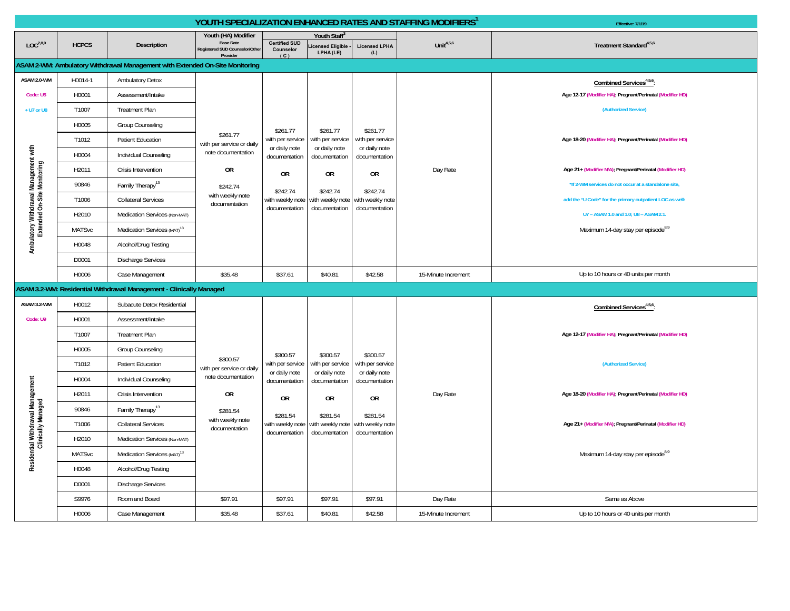|                                                                      | YOUTH SPECIALIZATION ENHANCED RATES AND STAFFING MODIFIERS' |                                                                              |                                            |                                                            |                                                    |                                             |                     | Effective: 7/1/19                                         |
|----------------------------------------------------------------------|-------------------------------------------------------------|------------------------------------------------------------------------------|--------------------------------------------|------------------------------------------------------------|----------------------------------------------------|---------------------------------------------|---------------------|-----------------------------------------------------------|
|                                                                      |                                                             |                                                                              | Youth (HA) Modifier<br><b>Base Rate</b>    |                                                            | <b>Youth Staff</b>                                 |                                             |                     |                                                           |
| LOC <sup>2,8,9</sup>                                                 | <b>HCPCS</b>                                                | Description                                                                  | Registered SUD Counselor/Other<br>Provider | <b>Certified SUD</b><br>Counselor<br>(C)                   | icensed Eligible<br>LPHA (LE)                      | <b>Licensed LPHA</b><br>(L)                 | Unit $4,5,6$        | Treatment Standard <sup>4,5,6</sup>                       |
|                                                                      |                                                             | ASAM 2-WM: Ambulatory Withdrawal Management with Extended On-Site Monitoring |                                            |                                                            |                                                    |                                             |                     |                                                           |
| ASAM 2.0-WM                                                          | H0014-1                                                     | <b>Ambulatory Detox</b>                                                      |                                            |                                                            |                                                    |                                             |                     | Combined Services <sup>4,5,6</sup> :                      |
| Code: U5                                                             | H0001                                                       | Assessment/Intake                                                            |                                            |                                                            |                                                    |                                             |                     | Age 12-17 (Modifier HA); Pregnant/Perinatal (Modifier HD) |
| + U7 or U8                                                           | T1007                                                       | <b>Treatment Plan</b>                                                        |                                            |                                                            |                                                    |                                             |                     | (Authorized Service)                                      |
|                                                                      | H0005                                                       | <b>Group Counseling</b>                                                      |                                            | \$261.77                                                   | \$261.77                                           | \$261.77                                    |                     |                                                           |
|                                                                      | T1012                                                       | <b>Patient Education</b>                                                     | \$261.77<br>with per service or daily      | with per service                                           | with per service<br>or daily note<br>documentation | with per service                            |                     | Age 18-20 (Modifier HA); Pregnant/Perinatal (Modifier HD) |
| Ambulatory Withdrawal Management with<br>Extended On-Site Monitoring | H0004                                                       | Individual Counseling                                                        | note documentation                         | or daily note<br>documentation                             |                                                    | or daily note<br>documentation<br><b>OR</b> |                     |                                                           |
|                                                                      | H2011                                                       | Crisis Intervention                                                          | <b>OR</b>                                  | <b>OR</b><br>\$242.74<br>with weekly note with weekly note | <b>OR</b>                                          |                                             | Day Rate            | Age 21+ (Modifier N/A); Pregnant/Perinatal (Modifier HD)  |
|                                                                      | 90846                                                       | Family Therapy <sup>13</sup>                                                 | \$242.74                                   |                                                            | \$242.74                                           | \$242.74                                    |                     | *If 2-WM services do not occur at a standalone site,      |
|                                                                      | T1006                                                       | <b>Collateral Services</b>                                                   | with weekly note<br>documentation          |                                                            |                                                    | with weekly note                            |                     | add the "U Code" for the primary outpatient LOC as well:  |
|                                                                      | H2010                                                       | Medication Services (Non-MAT)                                                |                                            | documentation                                              | documentation                                      | documentation                               |                     | U7 - ASAM 1.0 and 1.0; U8 - ASAM 2.1.                     |
|                                                                      | <b>MATSvc</b>                                               | Medication Services (MAT) <sup>13</sup>                                      |                                            |                                                            |                                                    |                                             |                     | Maximum 14-day stay per episode <sup>8,9</sup>            |
|                                                                      | H0048                                                       | Alcohol/Drug Testing                                                         |                                            |                                                            |                                                    |                                             |                     |                                                           |
|                                                                      | D0001                                                       | <b>Discharge Services</b>                                                    |                                            |                                                            |                                                    |                                             |                     |                                                           |
|                                                                      | H0006                                                       | Case Management                                                              | \$35.48                                    | \$37.61                                                    | \$40.81                                            | \$42.58                                     | 15-Minute Increment | Up to 10 hours or 40 units per month                      |
|                                                                      |                                                             | ASAM 3.2-WM: Residential Withdrawal Management - Clinically Managed          |                                            |                                                            |                                                    |                                             |                     |                                                           |
| ASAM 3.2-WM                                                          | H0012                                                       | Subacute Detox Residential                                                   |                                            |                                                            |                                                    |                                             |                     | Combined Services <sup>4,5,6</sup>                        |
| Code: U9                                                             | H0001                                                       | Assessment/Intake                                                            |                                            |                                                            |                                                    |                                             |                     |                                                           |
|                                                                      | T1007                                                       | <b>Treatment Plan</b>                                                        |                                            |                                                            |                                                    |                                             |                     | Age 12-17 (Modifier HA), Pregnant/Perinatal (Modifier HD) |
|                                                                      | H0005                                                       | Group Counseling                                                             |                                            | \$300.57                                                   | \$300.57                                           | \$300.57                                    |                     |                                                           |
|                                                                      | T1012                                                       | Patient Education                                                            | \$300.57<br>with per service or daily      | with per service                                           | with per service                                   | with per service                            |                     | (Authorized Service)                                      |
|                                                                      | H0004                                                       | Individual Counseling                                                        | note documentation                         | or daily note<br>documentation                             | or daily note<br>documentation                     | or daily note<br>documentation              |                     |                                                           |
|                                                                      | H2011                                                       | Crisis Intervention                                                          | <b>OR</b>                                  | 0R                                                         | <b>OR</b>                                          | 0R                                          | Day Rate            | Age 18-20 (Modifier HA); Pregnant/Perinatal (Modifier HD) |
|                                                                      | 90846                                                       | Family Therapy <sup>13</sup>                                                 | \$281.54                                   | \$281.54                                                   | \$281.54                                           | \$281.54                                    |                     |                                                           |
|                                                                      | T1006                                                       | <b>Collateral Services</b>                                                   | with weekly note<br>documentation          |                                                            | with weekly note with weekly note                  | with weekly note                            |                     | Age 21+ (Modifier N/A); Pregnant/Perinatal (Modifier HD)  |
|                                                                      | H2010                                                       | Medication Services (Non-MAT)                                                |                                            | documentation                                              | documentation                                      | documentation                               |                     |                                                           |
| Residential Withdrawal Management<br>Clinically Managed              | <b>MATSvc</b>                                               | Medication Services (MAT) <sup>13</sup>                                      |                                            |                                                            |                                                    |                                             |                     | Maximum 14-day stay per episode <sup>8,9</sup>            |
|                                                                      | H0048                                                       | Alcohol/Drug Testing                                                         |                                            |                                                            |                                                    |                                             |                     |                                                           |
|                                                                      | D0001                                                       | <b>Discharge Services</b>                                                    |                                            |                                                            |                                                    |                                             |                     |                                                           |
|                                                                      | S9976                                                       | Room and Board                                                               | \$97.91                                    | \$97.91                                                    | \$97.91                                            | \$97.91                                     | Day Rate            | Same as Above                                             |
|                                                                      | H0006                                                       | Case Management                                                              | \$35.48                                    | \$37.61                                                    | \$40.81                                            | \$42.58                                     | 15-Minute Increment | Up to 10 hours or 40 units per month                      |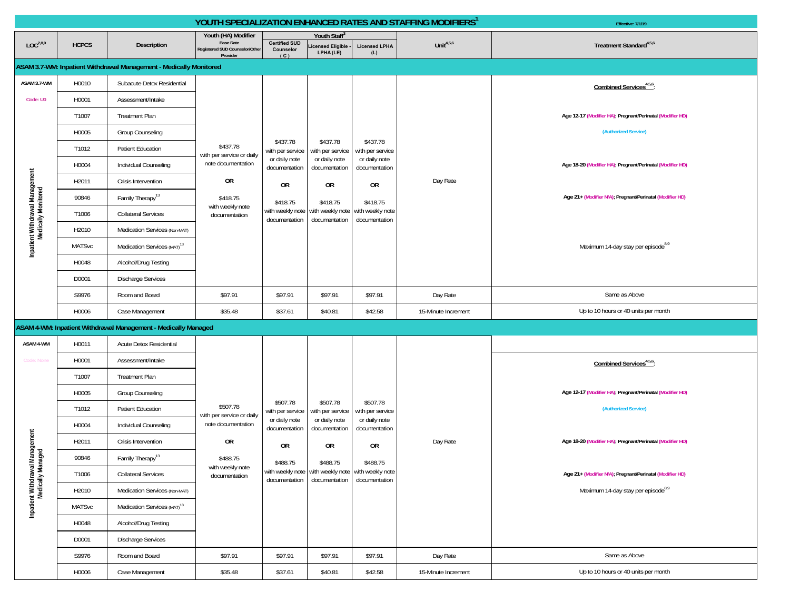|                                                        | YOUTH SPECIALIZATION ENHANCED RATES AND STAFFING MODIFIERS <sup>1</sup> |                                                                    |                                                                                       |                                          |                                                    |                                                                |                     | Effective: 7/1/19                                         |
|--------------------------------------------------------|-------------------------------------------------------------------------|--------------------------------------------------------------------|---------------------------------------------------------------------------------------|------------------------------------------|----------------------------------------------------|----------------------------------------------------------------|---------------------|-----------------------------------------------------------|
| LOC <sup>2,8,9</sup>                                   | <b>HCPCS</b>                                                            | Description                                                        | Youth (HA) Modifier<br><b>Base Rate</b><br>Registered SUD Counselor/Other<br>Provider | <b>Certified SUD</b><br>Counselor<br>(C) | Youth Staff<br>icensed Eligible<br>LPHA (LE)       | <b>Licensed LPHA</b><br>(L)                                    | Unit $4,5,6$        | Treatment Standard <sup>4,5,6</sup>                       |
|                                                        |                                                                         | ASAM 3.7-WM: Inpatient Withdrawal Management - Medically Monitored |                                                                                       |                                          |                                                    |                                                                |                     |                                                           |
| ASAM 3.7-WM                                            | H0010                                                                   | Subacute Detox Residential                                         |                                                                                       |                                          |                                                    |                                                                |                     | Combined Services <sup>4,5,6</sup> :                      |
| Code: U0                                               | H0001                                                                   | Assessment/Intake                                                  |                                                                                       |                                          |                                                    |                                                                |                     |                                                           |
|                                                        | T1007                                                                   | <b>Treatment Plan</b>                                              |                                                                                       |                                          |                                                    |                                                                |                     | Age 12-17 (Modifier HA); Pregnant/Perinatal (Modifier HD) |
|                                                        | H0005                                                                   | Group Counseling                                                   |                                                                                       |                                          |                                                    |                                                                |                     | (Authorized Service)                                      |
|                                                        | T1012                                                                   | Patient Education                                                  | \$437.78<br>with per service or daily                                                 | \$437.78<br>with per service             | \$437.78<br>with per service                       | \$437.78<br>with per service                                   |                     |                                                           |
|                                                        | H0004                                                                   | Individual Counseling                                              | note documentation                                                                    | or daily note<br>documentation           | or daily note<br>documentation                     | or daily note<br>documentation                                 |                     | Age 18-20 (Modifier HA); Pregnant/Perinatal (Modifier HD) |
|                                                        | H2011                                                                   | Crisis Intervention                                                | OR                                                                                    | 0R<br>\$418.75                           | 0R                                                 | 0R                                                             | Day Rate            |                                                           |
| Inpatient Withdrawal Management<br>Medically Monitored | 90846                                                                   | Family Therapy <sup>13</sup>                                       | \$418.75                                                                              |                                          | \$418.75                                           | \$418.75<br>with weekly note with weekly note<br>documentation |                     | Age 21+ (Modifier N/A); Pregnant/Perinatal (Modifier HD)  |
|                                                        | T1006                                                                   | <b>Collateral Services</b>                                         | with weekly note<br>documentation                                                     | with weekly note<br>documentation        | documentation                                      |                                                                |                     |                                                           |
|                                                        | H2010                                                                   | Medication Services (Non-MAT)                                      |                                                                                       |                                          |                                                    |                                                                |                     |                                                           |
|                                                        | <b>MATSvc</b>                                                           | Medication Services (MAT) <sup>13</sup>                            |                                                                                       |                                          |                                                    |                                                                |                     | Maximum 14-day stay per episode <sup>8,9</sup>            |
|                                                        | H0048                                                                   | Alcohol/Drug Testing                                               |                                                                                       |                                          |                                                    |                                                                |                     |                                                           |
|                                                        | D0001                                                                   | <b>Discharge Services</b>                                          |                                                                                       |                                          |                                                    |                                                                |                     |                                                           |
|                                                        | S9976                                                                   | Room and Board                                                     | \$97.91                                                                               | \$97.91                                  | \$97.91                                            | \$97.91                                                        | Day Rate            | Same as Above                                             |
|                                                        | H0006                                                                   | Case Management                                                    | \$35.48                                                                               | \$37.61                                  | \$40.81                                            | \$42.58                                                        | 15-Minute Increment | Up to 10 hours or 40 units per month                      |
|                                                        |                                                                         | ASAM 4-WM: Inpatient Withdrawal Management - Medically Managed     |                                                                                       |                                          |                                                    |                                                                |                     |                                                           |
| ASAM 4-WM                                              | H0011                                                                   | Acute Detox Residential                                            |                                                                                       |                                          |                                                    |                                                                |                     |                                                           |
| Code: None                                             | H0001                                                                   | Assessment/Intake                                                  |                                                                                       |                                          |                                                    |                                                                |                     | Combined Services <sup>4,5,6</sup> :                      |
|                                                        | T1007                                                                   | <b>Treatment Plan</b>                                              |                                                                                       |                                          |                                                    |                                                                |                     |                                                           |
|                                                        | H0005                                                                   | Group Counseling                                                   |                                                                                       |                                          |                                                    |                                                                |                     | Age 12-17 (Modifier HA); Pregnant/Perinatal (Modifier HD) |
|                                                        | T1012                                                                   | Patient Education                                                  | \$507.78<br>with per service or daily                                                 | \$507.78<br>with per service             | \$507.78<br>with per service                       | \$507.78<br>with per service                                   |                     | (Authorized Service)                                      |
|                                                        | H0004                                                                   | Individual Counseling                                              | note documentation                                                                    | or daily note<br>documentation           | or daily note<br>documentation                     | or daily note<br>documentation                                 |                     |                                                           |
| l Management<br>inaged                                 | H2011                                                                   | Crisis Intervention                                                | OR                                                                                    | 0R                                       | 0R                                                 | 0R                                                             | Day Rate            | Age 18-20 (Modifier HA); Pregnant/Perinatal (Modifier HD) |
|                                                        | 90846                                                                   | Family Therapy <sup>13</sup>                                       | \$488.75                                                                              | \$488.75                                 | \$488.75                                           | \$488.75                                                       |                     |                                                           |
| Inpatient Withdrawal N<br>Medically Man                | T1006                                                                   | <b>Collateral Services</b>                                         | with weekly note<br>documentation                                                     | documentation                            | with weekly note with weekly note with weekly note | documentation documentation                                    |                     | Age 21+ (Modifier N/A); Pregnant/Perinatal (Modifier HD)  |
|                                                        | H2010                                                                   | Medication Services (Non-MAT)                                      |                                                                                       |                                          |                                                    |                                                                |                     | Maximum 14-day stay per episode <sup>8,9</sup>            |
|                                                        | <b>MATSvc</b>                                                           | Medication Services (MAT) <sup>13</sup>                            |                                                                                       |                                          |                                                    |                                                                |                     |                                                           |
|                                                        | H0048                                                                   | Alcohol/Drug Testing                                               |                                                                                       |                                          |                                                    |                                                                |                     |                                                           |
|                                                        | D0001                                                                   | <b>Discharge Services</b>                                          |                                                                                       |                                          |                                                    |                                                                |                     |                                                           |
|                                                        | S9976                                                                   | Room and Board                                                     | \$97.91                                                                               | \$97.91                                  | \$97.91                                            | \$97.91                                                        | Day Rate            | Same as Above                                             |
|                                                        | H0006                                                                   | Case Management                                                    | \$35.48                                                                               | \$37.61                                  | \$40.81                                            | \$42.58                                                        | 15-Minute Increment | Up to 10 hours or 40 units per month                      |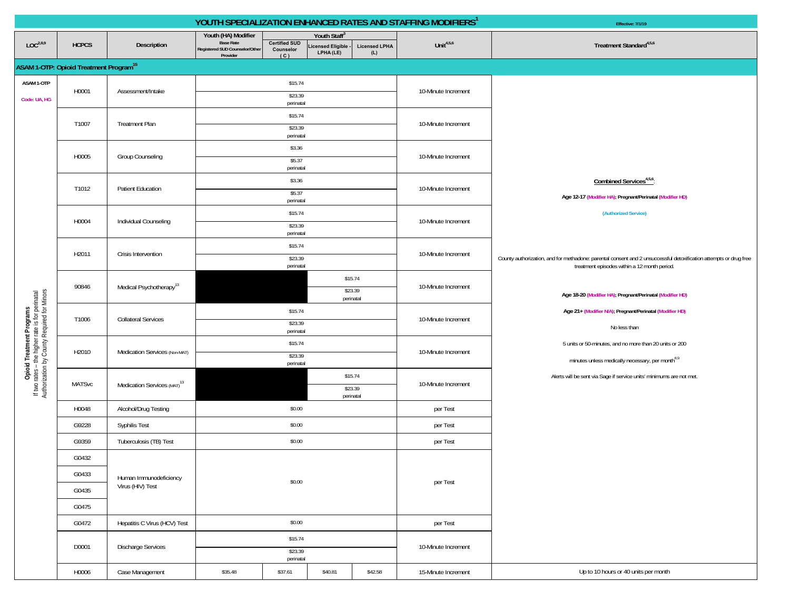|                                                                                                                             |                                                    |                                         |                                                                                       |                                                                    |                                                             |                                 | YOUTH SPECIALIZATION ENHANCED RATES AND STAFFING MODIFIERS <sup>1</sup> | Effective: 7/1/19                                                                                                                                                 |
|-----------------------------------------------------------------------------------------------------------------------------|----------------------------------------------------|-----------------------------------------|---------------------------------------------------------------------------------------|--------------------------------------------------------------------|-------------------------------------------------------------|---------------------------------|-------------------------------------------------------------------------|-------------------------------------------------------------------------------------------------------------------------------------------------------------------|
| LOC <sup>2,8,9</sup>                                                                                                        | <b>HCPCS</b>                                       | Description                             | Youth (HA) Modifier<br><b>Base Rate</b><br>Registered SUD Counselor/Other<br>Provider | <b>Certified SUD</b><br>Counselor<br>(C)                           | Youth Staff <sup>®</sup><br>icensed Eligible -<br>LPHA (LE) | <b>Licensed LPHA</b><br>(L)     | Unit $4,5,6$                                                            | Treatment Standard <sup>4,5,6</sup>                                                                                                                               |
|                                                                                                                             | ASAM 1-OTP: Opioid Treatment Program <sup>15</sup> |                                         |                                                                                       |                                                                    |                                                             |                                 |                                                                         |                                                                                                                                                                   |
| ASAM 1-OTP<br>Code: UA, HG                                                                                                  | H0001                                              | Assessment/Intake                       |                                                                                       | \$15.74<br>\$23.39<br>perinatal                                    |                                                             |                                 | 10-Minute Increment                                                     |                                                                                                                                                                   |
|                                                                                                                             | T1007                                              | <b>Treatment Plan</b>                   |                                                                                       | \$15.74<br>\$23.39<br>perinatal                                    |                                                             |                                 | 10-Minute Increment                                                     |                                                                                                                                                                   |
|                                                                                                                             | H0005                                              | Group Counseling                        |                                                                                       | \$3.36<br>\$5.37<br>perinatal                                      |                                                             |                                 | 10-Minute Increment                                                     |                                                                                                                                                                   |
|                                                                                                                             | T1012                                              | Patient Education                       |                                                                                       | \$3.36<br>\$5.37<br>perinatal                                      |                                                             |                                 | 10-Minute Increment                                                     | Combined Services <sup>4,5,6</sup> :<br>Age 12-17 (Modifier HA); Pregnant/Perinatal (Modifier HD)                                                                 |
|                                                                                                                             | H0004                                              | Individual Counseling                   |                                                                                       | \$15.74<br>\$23.39<br>perinatal                                    |                                                             |                                 | 10-Minute Increment                                                     | (Authorized Service)                                                                                                                                              |
|                                                                                                                             | H2011                                              | Crisis Intervention                     |                                                                                       | \$15.74<br>\$23.39<br>perinatal                                    |                                                             |                                 | 10-Minute Increment                                                     | County authorization, and for methadone: parental consent and 2 unsuccessful detoxification attempts or drug free<br>treatment episodes within a 12 month period. |
|                                                                                                                             | 90846                                              | Medical Psychotherapy <sup>13</sup>     |                                                                                       |                                                                    |                                                             | \$15.74<br>\$23.39<br>perinatal | 10-Minute Increment                                                     | Age 18-20 (Modifier HA), Pregnant/Perinatal (Modifier HD)                                                                                                         |
|                                                                                                                             | T1006                                              | <b>Collateral Services</b>              | \$15.74<br>\$23.39<br>perinatal                                                       |                                                                    |                                                             |                                 | 10-Minute Increment                                                     | Age 21+ (Modifier N/A); Pregnant/Perinatal (Modifier HD)<br>No less than                                                                                          |
| Opioid Treatment Programs<br>If two rates - the higher rate is for perinatal<br>Authorization by County Required for Minors | H2010                                              | Medication Services (Non-MAT)           |                                                                                       | \$15.74<br>\$23.39<br>perinatal<br>\$15.74<br>\$23.39<br>perinatal |                                                             |                                 | 10-Minute Increment                                                     | 5 units or 50-minutes, and no more than 20 units or 200<br>minutes unless medically necessary, per month <sup>8,9</sup>                                           |
|                                                                                                                             | <b>MATSvc</b>                                      | Medication Services (MAT) <sup>13</sup> |                                                                                       |                                                                    |                                                             |                                 | 10-Minute Increment                                                     | Alerts will be sent via Sage if service units' minimums are not met.                                                                                              |
|                                                                                                                             | H0048                                              | Alcohol/Drug Testing                    |                                                                                       | \$0.00                                                             |                                                             |                                 | per Test                                                                |                                                                                                                                                                   |
|                                                                                                                             | G9228                                              | Syphilis Test                           |                                                                                       | \$0.00                                                             |                                                             |                                 | per Test                                                                |                                                                                                                                                                   |
|                                                                                                                             | G9359                                              | Tuberculosis (TB) Test                  |                                                                                       | \$0.00                                                             |                                                             |                                 | per Test                                                                |                                                                                                                                                                   |
|                                                                                                                             | G0432                                              |                                         |                                                                                       |                                                                    |                                                             |                                 |                                                                         |                                                                                                                                                                   |
|                                                                                                                             | G0433                                              | Human Immunodeficiency                  |                                                                                       |                                                                    |                                                             |                                 |                                                                         |                                                                                                                                                                   |
|                                                                                                                             | G0435                                              | Virus (HIV) Test                        |                                                                                       | \$0.00                                                             |                                                             |                                 | per Test                                                                |                                                                                                                                                                   |
|                                                                                                                             | G0475                                              |                                         |                                                                                       |                                                                    |                                                             |                                 |                                                                         |                                                                                                                                                                   |
|                                                                                                                             | G0472                                              | Hepatitis C Virus (HCV) Test            |                                                                                       | \$0.00                                                             |                                                             |                                 | per Test                                                                |                                                                                                                                                                   |
|                                                                                                                             |                                                    |                                         |                                                                                       | \$15.74                                                            |                                                             |                                 |                                                                         |                                                                                                                                                                   |
|                                                                                                                             | D0001                                              | Discharge Services                      | \$23.39<br>perinatal                                                                  |                                                                    |                                                             |                                 | 10-Minute Increment                                                     |                                                                                                                                                                   |
|                                                                                                                             | H0006                                              | Case Management                         | \$35.48                                                                               | \$37.61                                                            | \$40.81                                                     | \$42.58                         | 15-Minute Increment                                                     | Up to 10 hours or 40 units per month                                                                                                                              |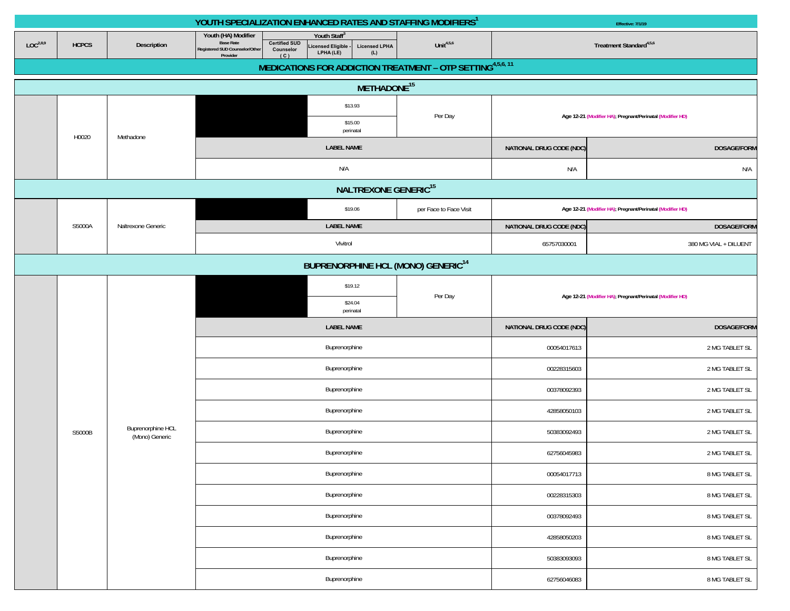|                      |              |                                     |                                                                                       |                                                | YOUTH SPECIALIZATION ENHANCED RATES AND STAFFING MODIFIERS <sup>1</sup>                   |                                                                        | Effective: 7/1/19                   |                                                           |  |
|----------------------|--------------|-------------------------------------|---------------------------------------------------------------------------------------|------------------------------------------------|-------------------------------------------------------------------------------------------|------------------------------------------------------------------------|-------------------------------------|-----------------------------------------------------------|--|
| LOC <sup>2,8,9</sup> | <b>HCPCS</b> | Description                         | Youth (HA) Modifier<br><b>Base Rate</b><br>Registered SUD Counselor/Other<br>Provider | <b>Certified SUD</b><br>Counselor<br>(C)       | Youth Staff <sup>3</sup><br>Licensed Eligible<br><b>Licensed LPHA</b><br>LPHA (LE)<br>(L) | Unit $4,5,6$                                                           | Treatment Standard <sup>4,5,6</sup> |                                                           |  |
|                      |              |                                     |                                                                                       |                                                |                                                                                           | MEDICATIONS FOR ADDICTION TREATMENT - OTP SETTING <sup>4,5,6, 11</sup> |                                     |                                                           |  |
|                      |              |                                     |                                                                                       |                                                | METHADONE <sup>15</sup>                                                                   |                                                                        |                                     |                                                           |  |
|                      |              |                                     |                                                                                       |                                                | \$13.93                                                                                   |                                                                        |                                     |                                                           |  |
|                      |              |                                     |                                                                                       |                                                | \$15.00<br>perinatal                                                                      | Per Day                                                                |                                     | Age 12-21 (Modifier HA); Pregnant/Perinatal (Modifier HD) |  |
|                      | H0020        | Methadone                           |                                                                                       |                                                | <b>LABEL NAME</b>                                                                         |                                                                        | NATIONAL DRUG CODE (NDC)            | <b>DOSAGE/FORM</b>                                        |  |
|                      |              |                                     |                                                                                       |                                                | N/A                                                                                       |                                                                        | N/A                                 | N/A                                                       |  |
|                      |              |                                     |                                                                                       |                                                |                                                                                           |                                                                        |                                     |                                                           |  |
|                      |              |                                     |                                                                                       |                                                | \$19.06                                                                                   | per Face to Face Visit                                                 |                                     | Age 12-21 (Modifier HA); Pregnant/Perinatal (Modifier HD) |  |
|                      | S5000A       | Naltrexone Generic                  |                                                                                       |                                                | <b>LABEL NAME</b>                                                                         |                                                                        | NATIONAL DRUG CODE (NDC)            | <b>DOSAGE/FORM</b>                                        |  |
|                      |              |                                     |                                                                                       |                                                | Vivitrol                                                                                  |                                                                        | 65757030001                         | 380 MG VIAL + DILUENT                                     |  |
|                      |              |                                     |                                                                                       | BUPRENORPHINE HCL (MONO) GENERIC <sup>14</sup> |                                                                                           |                                                                        |                                     |                                                           |  |
|                      |              |                                     |                                                                                       |                                                | \$19.12                                                                                   |                                                                        |                                     | Age 12-21 (Modifier HA); Pregnant/Perinatal (Modifier HD) |  |
|                      |              |                                     |                                                                                       |                                                | \$24.04<br>perinatal                                                                      | Per Day                                                                |                                     |                                                           |  |
|                      |              |                                     |                                                                                       |                                                | <b>LABEL NAME</b>                                                                         |                                                                        | NATIONAL DRUG CODE (NDC)            | <b>DOSAGE/FORM</b>                                        |  |
|                      |              |                                     |                                                                                       |                                                | Buprenorphine                                                                             |                                                                        | 00054017613                         | 2 MG TABLET SL                                            |  |
|                      |              |                                     |                                                                                       |                                                | Buprenorphine                                                                             |                                                                        | 00228315603                         | 2 MG TABLET SL                                            |  |
|                      |              |                                     |                                                                                       |                                                | Buprenorphine                                                                             |                                                                        | 00378092393                         | 2 MG TABLET SL                                            |  |
|                      |              |                                     |                                                                                       |                                                | Buprenorphine                                                                             |                                                                        | 42858050103                         | 2 MG TABLET SL                                            |  |
|                      | S5000B       | Buprenorphine HCL<br>(Mono) Generic |                                                                                       |                                                | Buprenorphine                                                                             |                                                                        | 50383092493                         | 2 MG TABLET SL                                            |  |
|                      |              |                                     |                                                                                       |                                                | Buprenorphine                                                                             |                                                                        | 62756045983                         | 2 MG TABLET SL                                            |  |
|                      |              |                                     |                                                                                       |                                                | Buprenorphine                                                                             |                                                                        | 00054017713                         | 8 MG TABLET SL                                            |  |
|                      |              |                                     |                                                                                       |                                                | Buprenorphine                                                                             |                                                                        | 00228315303                         | 8 MG TABLET SL                                            |  |
|                      |              |                                     |                                                                                       |                                                | Buprenorphine                                                                             |                                                                        | 00378092493                         | 8 MG TABLET SL                                            |  |
|                      |              |                                     |                                                                                       |                                                | Buprenorphine                                                                             |                                                                        | 42858050203                         | 8 MG TABLET SL                                            |  |
|                      |              |                                     |                                                                                       |                                                | Buprenorphine                                                                             |                                                                        | 50383093093                         | 8 MG TABLET SL                                            |  |
|                      |              |                                     |                                                                                       |                                                | Buprenorphine                                                                             |                                                                        | 62756046083                         | 8 MG TABLET SL                                            |  |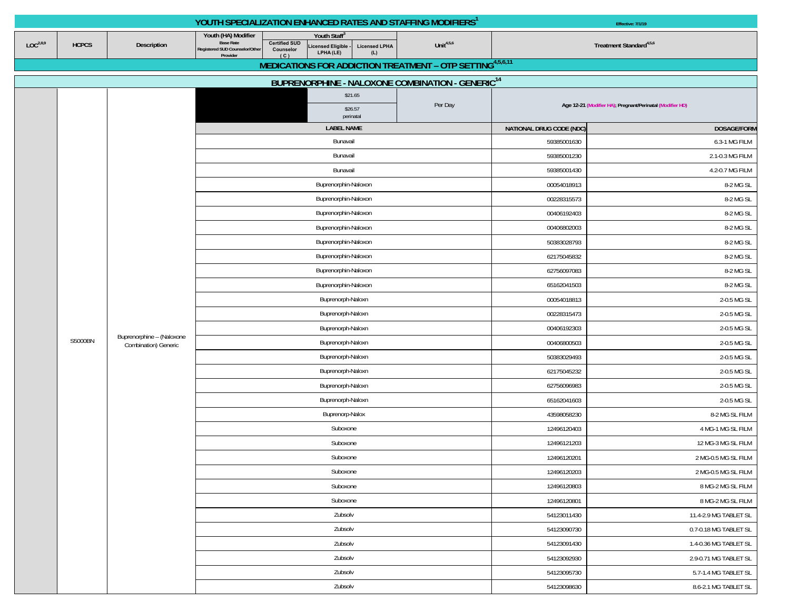|                      |              |                                                   | YOUTH SPECIALIZATION ENHANCED RATES AND STAFFING MODIFIERS <sup>1</sup>                                                           |                                                                                 | <b>Effective: 7/1/19</b> |                                                |                                                           |  |  |
|----------------------|--------------|---------------------------------------------------|-----------------------------------------------------------------------------------------------------------------------------------|---------------------------------------------------------------------------------|--------------------------|------------------------------------------------|-----------------------------------------------------------|--|--|
| LOC <sup>2,8,9</sup> | <b>HCPCS</b> | Description                                       | Youth (HA) Modifier<br><b>Base Rate</b><br><b>Certified SUD</b><br>Registered SUD Counselor/Other<br>Counselor<br>Provider<br>(C) | Youth Staff®<br>Licensed Eligible -<br>LPHA (LE)<br><b>Licensed LPHA</b><br>(L) | Unit $4,5,6$             | Treatment Standard <sup>4,5,6</sup>            |                                                           |  |  |
|                      |              |                                                   |                                                                                                                                   | MEDICATIONS FOR ADDICTION TREATMENT - OTP SETTING4,5,6,11                       |                          |                                                |                                                           |  |  |
|                      |              |                                                   |                                                                                                                                   | BUPRENORPHINE - NALOXONE COMBINATION - GENERIC <sup>14</sup>                    |                          |                                                |                                                           |  |  |
|                      |              |                                                   |                                                                                                                                   | \$21.65<br>\$26.57                                                              | Per Day                  |                                                | Age 12-21 (Modifier HA), Pregnant/Perinatal (Modifier HD) |  |  |
|                      |              |                                                   |                                                                                                                                   | perinatal<br><b>LABEL NAME</b>                                                  |                          | NATIONAL DRUG CODE (NDC)<br><b>DOSAGE/FORM</b> |                                                           |  |  |
|                      |              |                                                   |                                                                                                                                   | Bunavail                                                                        |                          | 59385001630                                    | 6.3-1 MG FILM                                             |  |  |
|                      |              |                                                   |                                                                                                                                   | Bunavail                                                                        |                          | 59385001230                                    | 2.1-0.3 MG FILM                                           |  |  |
|                      |              |                                                   | Bunavail                                                                                                                          |                                                                                 | 59385001430              | 4.2-0.7 MG FILM                                |                                                           |  |  |
|                      |              |                                                   |                                                                                                                                   | Buprenorphin-Naloxon                                                            |                          | 00054018913                                    | 8-2 MG SL                                                 |  |  |
|                      |              |                                                   |                                                                                                                                   | Buprenorphin-Naloxon                                                            |                          | 00228315573                                    | 8-2 MG SL                                                 |  |  |
|                      |              |                                                   |                                                                                                                                   | Buprenorphin-Naloxon                                                            |                          | 00406192403                                    | 8-2 MG SL                                                 |  |  |
|                      |              |                                                   |                                                                                                                                   | Buprenorphin-Naloxon                                                            |                          | 00406802003                                    | 8-2 MG SL                                                 |  |  |
|                      |              |                                                   |                                                                                                                                   | Buprenorphin-Naloxon                                                            |                          | 50383028793                                    | 8-2 MG SL                                                 |  |  |
|                      |              |                                                   |                                                                                                                                   | Buprenorphin-Naloxon                                                            |                          | 62175045832                                    | 8-2 MG SL                                                 |  |  |
|                      |              |                                                   |                                                                                                                                   | Buprenorphin-Naloxon                                                            |                          | 62756097083                                    | 8-2 MG SL                                                 |  |  |
|                      |              |                                                   |                                                                                                                                   | Buprenorphin-Naloxon                                                            |                          | 65162041503                                    | 8-2 MG SL                                                 |  |  |
|                      |              |                                                   |                                                                                                                                   | Buprenorph-Naloxn                                                               |                          | 00054018813                                    | 2-0.5 MG SL                                               |  |  |
|                      |              |                                                   |                                                                                                                                   | Buprenorph-Naloxn                                                               |                          | 00228315473                                    | 2-0.5 MG SL                                               |  |  |
|                      |              |                                                   |                                                                                                                                   | Buprenorph-Naloxn                                                               |                          | 00406192303                                    | 2-0.5 MG SL                                               |  |  |
|                      | S5000BN      | Buprenorphine - (Naloxone<br>Combination) Generic |                                                                                                                                   | Buprenorph-Naloxn                                                               |                          | 00406800503                                    | 2-0.5 MG SL                                               |  |  |
|                      |              |                                                   |                                                                                                                                   | Buprenorph-Naloxn                                                               |                          | 50383029493                                    | 2-0.5 MG SL                                               |  |  |
|                      |              |                                                   |                                                                                                                                   | Buprenorph-Naloxn                                                               |                          | 62175045232                                    | 2-0.5 MG SL                                               |  |  |
|                      |              |                                                   |                                                                                                                                   | Buprenorph-Naloxn                                                               |                          | 62756096983                                    | 2-0.5 MG SL                                               |  |  |
|                      |              |                                                   |                                                                                                                                   | Buprenorph-Naloxn                                                               |                          | 65162041603                                    | 2-0.5 MG SL                                               |  |  |
|                      |              |                                                   |                                                                                                                                   | Buprenorp-Nalox                                                                 |                          | 43598058230                                    | 8-2 MG SL FILM                                            |  |  |
|                      |              |                                                   |                                                                                                                                   | Suboxone                                                                        |                          | 12496120403                                    | 4 MG-1 MG SL FILM                                         |  |  |
|                      |              |                                                   |                                                                                                                                   | Suboxone                                                                        |                          | 12496121203                                    | 12 MG-3 MG SL FILM                                        |  |  |
|                      |              |                                                   |                                                                                                                                   | Suboxone                                                                        |                          | 12496120201                                    | 2 MG-0.5 MG SL FILM                                       |  |  |
|                      |              |                                                   |                                                                                                                                   | Suboxone                                                                        |                          | 12496120203                                    | 2 MG-0.5 MG SL FILM                                       |  |  |
|                      |              |                                                   |                                                                                                                                   | Suboxone                                                                        |                          | 12496120803                                    | 8 MG-2 MG SL FILM                                         |  |  |
|                      |              |                                                   |                                                                                                                                   | Suboxone                                                                        |                          | 12496120801                                    | 8 MG-2 MG SL FILM                                         |  |  |
|                      |              |                                                   |                                                                                                                                   | Zubsolv                                                                         |                          | 54123011430                                    | 11.4-2.9 MG TABLET SL                                     |  |  |
|                      |              |                                                   |                                                                                                                                   | Zubsolv                                                                         |                          | 54123090730                                    | 0.7-0.18 MG TABLET SL                                     |  |  |
|                      |              |                                                   |                                                                                                                                   | Zubsolv                                                                         |                          | 54123091430                                    | 1.4-0.36 MG TABLET SL                                     |  |  |
|                      |              |                                                   |                                                                                                                                   | Zubsolv                                                                         |                          | 54123092930<br>54123095730                     | 2.9-0.71 MG TABLET SL                                     |  |  |
|                      |              |                                                   |                                                                                                                                   | Zubsolv                                                                         |                          |                                                | 5.7-1.4 MG TABLET SL                                      |  |  |
|                      |              |                                                   |                                                                                                                                   | Zubsolv                                                                         |                          | 54123098630                                    | 8.6-2.1 MG TABLET SL                                      |  |  |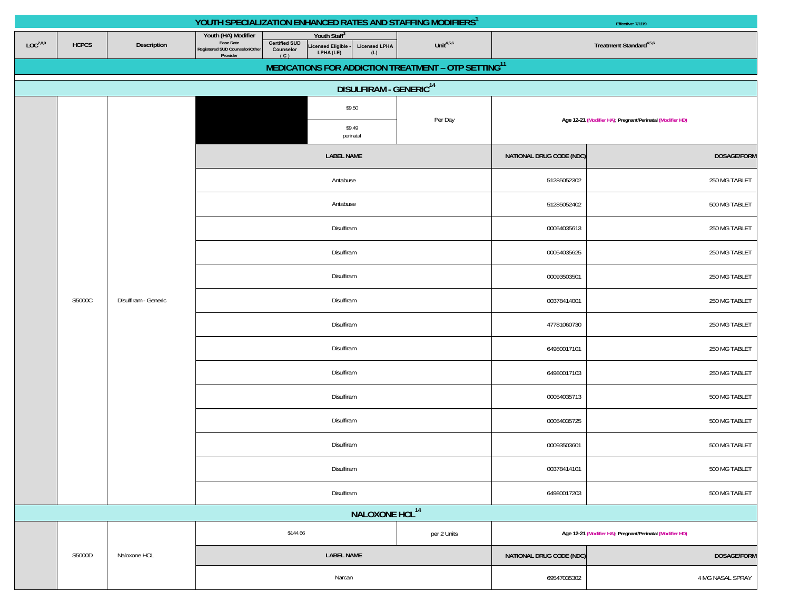|                      |              |                      | YOUTH SPECIALIZATION ENHANCED RATES AND STAFFING MODIFIERS <sup>1</sup>                                                           |                                                              | Effective: 7/1/19                  |                                                                 |                                                |                                                           |  |  |               |
|----------------------|--------------|----------------------|-----------------------------------------------------------------------------------------------------------------------------------|--------------------------------------------------------------|------------------------------------|-----------------------------------------------------------------|------------------------------------------------|-----------------------------------------------------------|--|--|---------------|
| LOC <sup>2,8,9</sup> | <b>HCPCS</b> | Description          | Youth (HA) Modifier<br><b>Base Rate</b><br><b>Certified SUD</b><br>Registered SUD Counselor/Other<br>Counselor<br>Provider<br>(C) | Youth Staff <sup>3</sup><br>Licensed Eligible -<br>LPHA (LE) | <b>Licensed LPHA</b><br>(L)        | Unit $4,5,6$                                                    | Treatment Standard <sup>4,5,6</sup>            |                                                           |  |  |               |
|                      |              |                      |                                                                                                                                   |                                                              |                                    | MEDICATIONS FOR ADDICTION TREATMENT - OTP SETTING <sup>11</sup> |                                                |                                                           |  |  |               |
|                      |              |                      |                                                                                                                                   |                                                              | DISULFIRAM - GENERIC <sup>14</sup> |                                                                 |                                                |                                                           |  |  |               |
|                      |              |                      |                                                                                                                                   | \$9.50                                                       |                                    |                                                                 |                                                |                                                           |  |  |               |
|                      |              |                      |                                                                                                                                   | \$9.49<br>perinatal                                          |                                    | Per Day                                                         |                                                | Age 12-21 (Modifier HA); Pregnant/Perinatal (Modifier HD) |  |  |               |
|                      |              |                      |                                                                                                                                   | <b>LABEL NAME</b>                                            |                                    |                                                                 | <b>DOSAGE/FORM</b><br>NATIONAL DRUG CODE (NDC) |                                                           |  |  |               |
|                      |              |                      |                                                                                                                                   | Antabuse                                                     |                                    |                                                                 | 51285052302                                    | 250 MG TABLET                                             |  |  |               |
|                      |              |                      |                                                                                                                                   | Antabuse                                                     |                                    |                                                                 | 51285052402                                    | 500 MG TABLET                                             |  |  |               |
|                      |              |                      |                                                                                                                                   | Disulfiram                                                   |                                    |                                                                 | 00054035613                                    | 250 MG TABLET                                             |  |  |               |
|                      |              | Disulfiram           |                                                                                                                                   |                                                              |                                    |                                                                 | 00054035625                                    | 250 MG TABLET                                             |  |  |               |
|                      |              |                      |                                                                                                                                   | Disulfiram                                                   |                                    |                                                                 | 00093503501                                    | 250 MG TABLET                                             |  |  |               |
|                      | S5000C       | Disulfiram - Generic |                                                                                                                                   | Disulfiram                                                   |                                    |                                                                 | 00378414001                                    | 250 MG TABLET                                             |  |  |               |
|                      |              |                      |                                                                                                                                   | Disulfiram                                                   |                                    |                                                                 | 47781060730                                    | 250 MG TABLET                                             |  |  |               |
|                      |              |                      |                                                                                                                                   | Disulfiram<br>64980017101                                    |                                    |                                                                 |                                                | 250 MG TABLET                                             |  |  |               |
|                      |              |                      |                                                                                                                                   | Disulfiram                                                   |                                    |                                                                 | 64980017103                                    |                                                           |  |  | 250 MG TABLET |
|                      |              |                      |                                                                                                                                   | Disulfiram<br>00054035713                                    |                                    |                                                                 |                                                | 500 MG TABLET                                             |  |  |               |
|                      |              |                      |                                                                                                                                   | Disulfiram                                                   |                                    |                                                                 | 00054035725                                    | 500 MG TABLET                                             |  |  |               |
|                      |              |                      |                                                                                                                                   | Disulfiram                                                   |                                    |                                                                 | 00093503601                                    | 500 MG TABLET                                             |  |  |               |
|                      |              |                      |                                                                                                                                   | Disulfiram                                                   |                                    |                                                                 | 00378414101                                    | 500 MG TABLET                                             |  |  |               |
|                      |              |                      |                                                                                                                                   | Disulfiram                                                   |                                    |                                                                 | 64980017203                                    | 500 MG TABLET                                             |  |  |               |
|                      |              |                      |                                                                                                                                   |                                                              | NALOXONE HCL <sup>14</sup>         |                                                                 |                                                |                                                           |  |  |               |
|                      |              |                      | \$144.66                                                                                                                          |                                                              |                                    | per 2 Units                                                     |                                                | Age 12-21 (Modifier HA); Pregnant/Perinatal (Modifier HD) |  |  |               |
|                      | S5000D       | Naloxone HCL         |                                                                                                                                   | <b>LABEL NAME</b>                                            |                                    |                                                                 | NATIONAL DRUG CODE (NDC)                       | DOSAGE/FORM                                               |  |  |               |
|                      |              |                      |                                                                                                                                   | Narcan                                                       |                                    |                                                                 | 69547035302                                    |                                                           |  |  |               |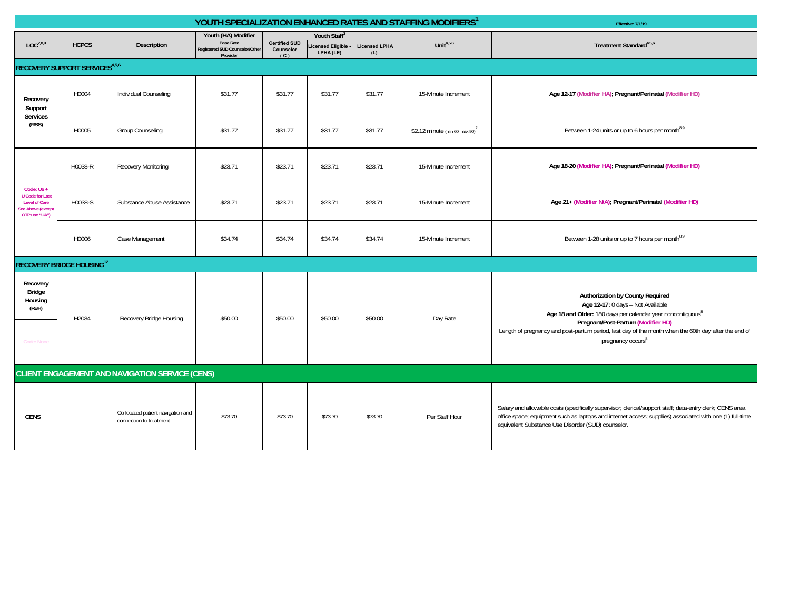|                                                                                                     |                                       |                                                              |                                                                                       |                                          |                                               |                             | YOUTH SPECIALIZATION ENHANCED RATES AND STAFFING MODIFIERS <sup>1</sup> | Effective: 7/1/19                                                                                                                                                                                                                                                                                                               |
|-----------------------------------------------------------------------------------------------------|---------------------------------------|--------------------------------------------------------------|---------------------------------------------------------------------------------------|------------------------------------------|-----------------------------------------------|-----------------------------|-------------------------------------------------------------------------|---------------------------------------------------------------------------------------------------------------------------------------------------------------------------------------------------------------------------------------------------------------------------------------------------------------------------------|
| LOC <sup>2,8,9</sup>                                                                                | <b>HCPCS</b>                          | Description                                                  | Youth (HA) Modifier<br><b>Base Rate</b><br>Registered SUD Counselor/Other<br>Provider | <b>Certified SUD</b><br>Counselor<br>(C) | Youth Staff®<br>icensed Eligible<br>LPHA (LE) | <b>Licensed LPHA</b><br>(L) | Unit $4,5,6$                                                            | Treatment Standard <sup>4,5,6</sup>                                                                                                                                                                                                                                                                                             |
|                                                                                                     | <b>RECOVERY SUPPORT SERVICES4,5,6</b> |                                                              |                                                                                       |                                          |                                               |                             |                                                                         |                                                                                                                                                                                                                                                                                                                                 |
| Recovery<br>Support                                                                                 | H0004                                 | Individual Counseling                                        | \$31.77                                                                               | \$31.77                                  | \$31.77                                       | \$31.77                     | 15-Minute Increment                                                     | Age 12-17 (Modifier HA); Pregnant/Perinatal (Modifier HD)                                                                                                                                                                                                                                                                       |
| Services<br>(RSS)                                                                                   | H0005                                 | Group Counseling                                             | \$31.77                                                                               | \$31.77                                  | \$31.77                                       | \$31.77                     | \$2.12 minute (min 60, max 90) <sup>2</sup>                             | Between 1-24 units or up to 6 hours per month <sup>8,9</sup>                                                                                                                                                                                                                                                                    |
|                                                                                                     | H0038-R                               | Recovery Monitoring                                          | \$23.71                                                                               | \$23.71                                  | \$23.71                                       | \$23.71                     | 15-Minute Increment                                                     | Age 18-20 (Modifier HA); Pregnant/Perinatal (Modifier HD)                                                                                                                                                                                                                                                                       |
| Code: $U6 +$<br><b>U</b> Code for Last<br><b>Level of Care</b><br>ee Above (except<br>OTP use "UA") | H0038-S                               | Substance Abuse Assistance                                   | \$23.71                                                                               | \$23.71                                  | \$23.71                                       | \$23.71                     | 15-Minute Increment                                                     | Age 21+ (Modifier N/A); Pregnant/Perinatal (Modifier HD)                                                                                                                                                                                                                                                                        |
|                                                                                                     | H0006                                 | Case Management                                              | \$34.74                                                                               | \$34.74                                  | \$34.74                                       | \$34.74                     | 15-Minute Increment                                                     | Between 1-28 units or up to 7 hours per month <sup>8,9</sup>                                                                                                                                                                                                                                                                    |
|                                                                                                     | <b>RECOVERY BRIDGE HOUSING12</b>      |                                                              |                                                                                       |                                          |                                               |                             |                                                                         |                                                                                                                                                                                                                                                                                                                                 |
| Recovery<br>Bridge<br>Housing<br>(RBH)<br>Code: None                                                | H2034                                 | Recovery Bridge Housing                                      | \$50.00                                                                               | \$50.00                                  | \$50.00                                       | \$50.00                     | Day Rate                                                                | Authorization by County Required<br>Age 12-17: 0 days - Not Available<br>Age 18 and Older: 180 days per calendar year noncontiquous <sup>8</sup><br>Pregnant/Post-Partum (Modifier HD)<br>Length of pregnancy and post-partum period, last day of the month when the 60th day after the end of<br>pregnancy occurs <sup>8</sup> |
|                                                                                                     |                                       | <b>CLIENT ENGAGEMENT AND NAVIGATION SERVICE (CENS)</b>       |                                                                                       |                                          |                                               |                             |                                                                         |                                                                                                                                                                                                                                                                                                                                 |
| <b>CENS</b>                                                                                         | $\sim$                                | Co-located patient navigation and<br>connection to treatment | \$73.70                                                                               | \$73.70                                  | \$73.70                                       | \$73.70                     | Per Staff Hour                                                          | Salary and allowable costs (specifically supervisor; clerical/support staff; data-entry clerk; CENS area<br>office space; equipment such as laptops and internet access; supplies) associated with one (1) full-time<br>equivalent Substance Use Disorder (SUD) counselor.                                                      |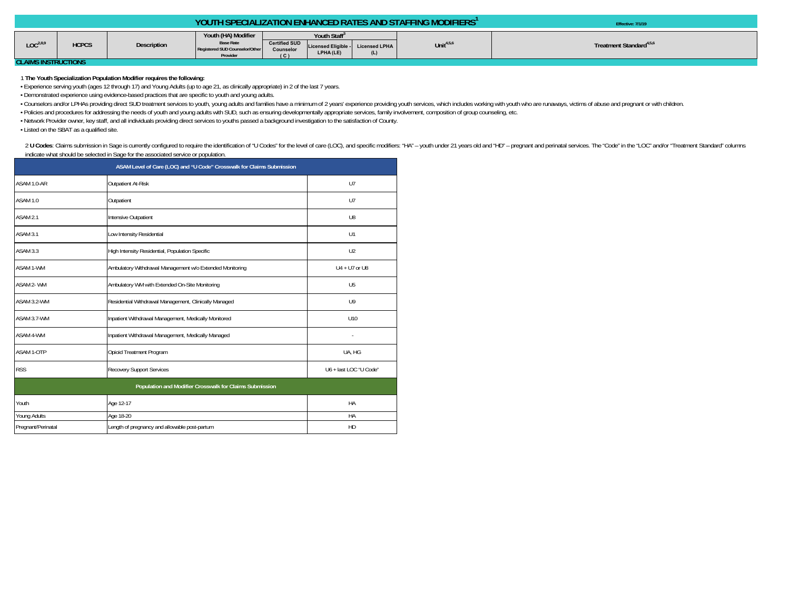| Youth (HA) Modifier<br>Youth Staff <sup>3</sup><br>LOC <sup>2,8.0</sup><br><b>Base Rate</b><br><b>Certified SUD</b><br>Unit $4,5,6$<br><b>HCPCS</b><br>Treatment Standard <sup>4,5,6</sup><br><b>Description</b><br>Licensed Eligible - Licensed LPHA<br>Registered SUD Counselor/Other<br>Counselor |  |  |           |     | <b>YOUTH SPECIALIZATION ENHANCED RATES AND STAFFING MODIFIERS'</b> | Effective: 7/1/19 |
|------------------------------------------------------------------------------------------------------------------------------------------------------------------------------------------------------------------------------------------------------------------------------------------------------|--|--|-----------|-----|--------------------------------------------------------------------|-------------------|
| Provider<br>י<br>OL AIMO IMOTOHOTIONIC                                                                                                                                                                                                                                                               |  |  | LPHA (LE) | (L) |                                                                    |                   |

**CLAIMS INSTRUCTIONS** 

1 **The Youth Specialization Population Modifier requires the following:**

• Experience serving youth (ages 12 through 17) and Young Adults (up to age 21, as clinically appropriate) in 2 of the last 7 years.

• Demonstrated experience using evidence-based practices that are specific to youth and young adults.

· Counselors and/or LPHAs providing direct SUD treatment services to youth, young adults and families have a minimum of 2 years' experience providing youth services, which includes working with youth who are runaways, vict

• Policies and procedures for addressing the needs of youth and young adults with SUD, such as ensuring developmentally appropriate services, family involvement, composition of group counseling, etc.

• Network Provider owner, key staff, and all individuals providing direct services to youths passed a background investigation to the satisfaction of County.

• Listed on the SBAT as a qualified site.

2 U Codes: Claims submission in Sage is currently configured to require the identification of "U Codes" for the level of care (LOC), and specific modifiers: "HA" - youth under 21 years old and "HD" - pregnant and perinatal indicate what should be selected in Sage for the associated service or population.

| ASAM Level of Care (LOC) and "U Code" Crosswalk for Claims Submission |                                                          |                |  |  |  |  |  |
|-----------------------------------------------------------------------|----------------------------------------------------------|----------------|--|--|--|--|--|
| ASAM 1.0-AR                                                           | Outpatient At-Risk                                       |                |  |  |  |  |  |
| ASAM 1.0                                                              | Outpatient                                               | U7             |  |  |  |  |  |
| ASAM 2.1                                                              | Intensive Outpatient                                     | U8             |  |  |  |  |  |
| ASAM 3.1                                                              | Low Intensity Residential                                | U1             |  |  |  |  |  |
| ASAM 3.3                                                              | High Intensity Residential, Population Specific          | U <sub>2</sub> |  |  |  |  |  |
| <b>ASAM 1-WM</b>                                                      | Ambulatory Withdrawal Management w/o Extended Monitoring | U4 + U7 or U8  |  |  |  |  |  |
| ASAM 2-WM                                                             | Ambulatory WM with Extended On-Site Monitoring           | U <sub>5</sub> |  |  |  |  |  |
| ASAM 3.2-WM                                                           | Residential Withdrawal Management, Clinically Managed    | U <sup>9</sup> |  |  |  |  |  |
| ASAM 3.7-WM                                                           | Inpatient Withdrawal Management, Medically Monitored     | U10            |  |  |  |  |  |
| ASAM 4-WM                                                             | Inpatient Withdrawal Management, Medically Managed       |                |  |  |  |  |  |
| ASAM 1-OTP                                                            | Opioid Treatment Program                                 | UA, HG         |  |  |  |  |  |
| <b>RSS</b>                                                            | Recovery Support Services                                |                |  |  |  |  |  |
|                                                                       | Population and Modifier Crosswalk for Claims Submission  |                |  |  |  |  |  |
| Youth                                                                 | Age 12-17                                                | HA             |  |  |  |  |  |
| <b>Young Adults</b>                                                   | Age 18-20                                                | HA             |  |  |  |  |  |
| Pregnant/Perinatal                                                    | Length of pregnancy and allowable post-partum            | HD             |  |  |  |  |  |